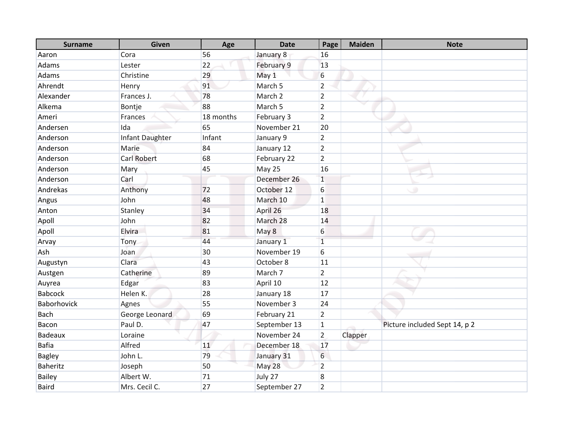| <b>Surname</b>  | Given           | Age       | <b>Date</b>        | Page           | <b>Maiden</b> | <b>Note</b>                   |
|-----------------|-----------------|-----------|--------------------|----------------|---------------|-------------------------------|
| Aaron           | Cora            | 56        | January 8          | 16             |               |                               |
| Adams           | Lester          | 22        | February 9         | 13             |               |                               |
| Adams           | Christine       | 29        | May 1              | 6              |               |                               |
| Ahrendt         | Henry           | 91        | March <sub>5</sub> | $\overline{2}$ |               |                               |
| Alexander       | Frances J.      | 78        | March 2            | $\overline{2}$ |               |                               |
| Alkema          | Bontje          | 88        | March <sub>5</sub> | $\overline{2}$ |               |                               |
| Ameri           | Frances         | 18 months | February 3         | $\overline{2}$ |               |                               |
| Andersen        | Ida             | 65        | November 21        | 20             |               |                               |
| Anderson        | Infant Daughter | Infant    | January 9          | $\overline{2}$ |               |                               |
| Anderson        | Marie           | 84        | January 12         | $\overline{2}$ |               |                               |
| Anderson        | Carl Robert     | 68        | February 22        | $\overline{2}$ |               |                               |
| Anderson        | Mary            | 45        | May 25             | 16             |               |                               |
| Anderson        | Carl            |           | December 26        | $\overline{1}$ |               |                               |
| Andrekas        | Anthony         | 72        | October 12         | 6              |               | ی                             |
| Angus           | John            | 48        | March 10           | $\mathbf{1}$   |               |                               |
| Anton           | Stanley         | 34        | April 26           | 18             |               |                               |
| Apoll           | John            | 82        | March 28           | 14             |               |                               |
| Apoll           | Elvira          | 81        | May 8              | 6              |               |                               |
| Arvay           | Tony            | 44        | January 1          | $\mathbf{1}$   |               |                               |
| Ash             | Joan            | 30        | November 19        | 6              |               |                               |
| Augustyn        | Clara           | 43        | October 8          | 11             |               |                               |
| Austgen         | Catherine       | 89        | March 7            | $\overline{2}$ |               |                               |
| Auyrea          | Edgar           | 83        | April 10           | 12             |               |                               |
| <b>Babcock</b>  | Helen K.        | 28        | January 18         | 17             |               |                               |
| Baborhovick     | Agnes           | 55        | November 3         | 24             |               |                               |
| <b>Bach</b>     | George Leonard  | 69        | February 21        | $\overline{2}$ |               |                               |
| Bacon           | Paul D.         | 47        | September 13       | $\mathbf{1}$   |               | Picture included Sept 14, p 2 |
| Badeaux         | Loraine         |           | November 24        | $\overline{2}$ | Clapper       |                               |
| <b>Bafia</b>    | Alfred          | 11        | December 18        | 17             |               |                               |
| <b>Bagley</b>   | John L.         | 79        | January 31         | 6              |               |                               |
| <b>Baheritz</b> | Joseph          | 50        | May 28             | $\overline{2}$ |               |                               |
| <b>Bailey</b>   | Albert W.       | 71        | July 27            | 8              |               |                               |
| <b>Baird</b>    | Mrs. Cecil C.   | 27        | September 27       | $\overline{2}$ |               |                               |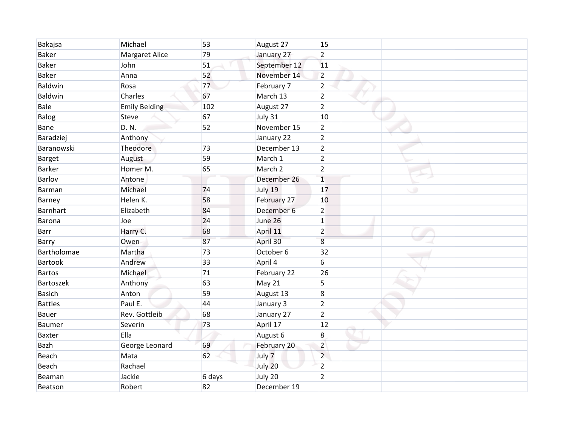| Bakajsa          | Michael               | 53     | August 27    | 15             |         |
|------------------|-----------------------|--------|--------------|----------------|---------|
| <b>Baker</b>     | <b>Margaret Alice</b> | 79     | January 27   | $\overline{2}$ |         |
| <b>Baker</b>     | John                  | 51     | September 12 | 11             |         |
| <b>Baker</b>     | Anna                  | 52     | November 14  | $\overline{2}$ |         |
| <b>Baldwin</b>   | Rosa                  | 77     | February 7   | $\overline{2}$ |         |
| <b>Baldwin</b>   | Charles               | 67     | March 13     | $\overline{2}$ |         |
| Bale             | <b>Emily Belding</b>  | 102    | August 27    | $\overline{2}$ |         |
| Balog            | Steve                 | 67     | July 31      | 10             |         |
| Bane             | D. N.                 | 52     | November 15  | $\overline{2}$ |         |
| Baradziej        | Anthony               |        | January 22   | $\overline{2}$ |         |
| Baranowski       | Theodore              | 73     | December 13  | $\overline{2}$ |         |
| <b>Barget</b>    | August                | 59     | March 1      | $\overline{2}$ |         |
| <b>Barker</b>    | Homer M.              | 65     | March 2      | $\overline{2}$ |         |
| Barlov           | Antone                |        | December 26  | $\overline{1}$ |         |
| <b>Barman</b>    | Michael               | 74     | July 19      | 17             | $\circ$ |
| Barney           | Helen K.              | 58     | February 27  | 10             |         |
| <b>Barnhart</b>  | Elizabeth             | 84     | December 6   | $\overline{2}$ |         |
| Barona           | Joe                   | 24     | June 26      | $\mathbf{1}$   |         |
| <b>Barr</b>      | Harry C.              | 68     | April 11     | $\overline{2}$ |         |
| Barry            | Owen                  | 87     | April 30     | 8              |         |
| Bartholomae      | Martha                | 73     | October 6    | 32             |         |
| <b>Bartook</b>   | Andrew                | 33     | April 4      | 6              |         |
| <b>Bartos</b>    | Michael               | 71     | February 22  | 26             |         |
| <b>Bartoszek</b> | Anthony               | 63     | May 21       | 5              |         |
| <b>Basich</b>    | Anton                 | 59     | August 13    | 8              |         |
| <b>Battles</b>   | Paul E.               | 44     | January 3    | $\overline{2}$ |         |
| <b>Bauer</b>     | Rev. Gottleib         | 68     | January 27   | $\overline{2}$ |         |
| <b>Baumer</b>    | Severin               | 73     | April 17     | 12             |         |
| <b>Baxter</b>    | Ella                  |        | August 6     | $\,8\,$        |         |
| Bazh             | George Leonard        | 69     | February 20  | $\overline{2}$ |         |
| Beach            | Mata                  | 62     | July 7       | $\overline{2}$ |         |
| Beach            | Rachael               |        | July 20      | $\overline{2}$ |         |
| Beaman           | Jackie                | 6 days | July 20      | $\overline{2}$ |         |
| Beatson          | Robert                | 82     | December 19  |                |         |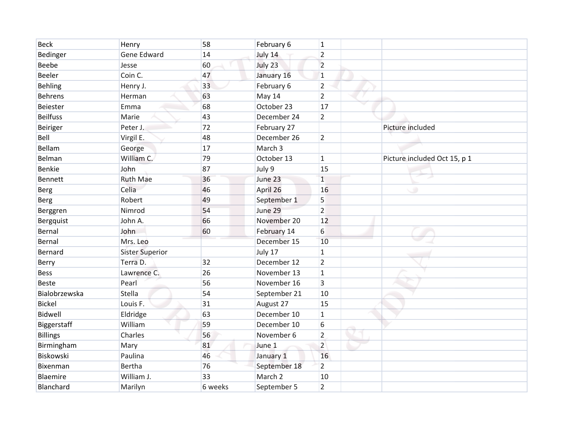| <b>Beck</b>     | Henry                  | 58      | February 6         | $\mathbf{1}$   |                              |
|-----------------|------------------------|---------|--------------------|----------------|------------------------------|
| Bedinger        | Gene Edward            | 14      | July 14            | $\overline{2}$ |                              |
| Beebe           | Jesse                  | 60      | July 23            | $\overline{2}$ |                              |
| Beeler          | Coin C.                | 47      | January 16         | $\overline{1}$ |                              |
| <b>Behling</b>  | Henry J.               | 33      | February 6         | $\overline{2}$ |                              |
| <b>Behrens</b>  | Herman                 | 63      | May 14             | $\overline{2}$ |                              |
| Beiester        | Emma                   | 68      | October 23         | 17             |                              |
| <b>Beilfuss</b> | Marie                  | 43      | December 24        | $\overline{2}$ |                              |
| <b>Beiriger</b> | Peter J.               | 72      | February 27        |                | Picture included             |
| Bell            | Virgil E.              | 48      | December 26        | $\overline{2}$ |                              |
| Bellam          | George                 | 17      | March <sub>3</sub> |                |                              |
| Belman          | William C.             | 79      | October 13         | 1              | Picture included Oct 15, p 1 |
| Benkie          | John                   | 87      | July 9             | 15             |                              |
| <b>Bennett</b>  | <b>Ruth Mae</b>        | 36      | June 23            | $\overline{1}$ |                              |
| <b>Berg</b>     | Celia                  | 46      | April 26           | 16             | ی                            |
| <b>Berg</b>     | Robert                 | 49      | September 1        | 5              |                              |
| Berggren        | Nimrod                 | 54      | June 29            | $\overline{2}$ |                              |
| Bergquist       | John A.                | 66      | November 20        | 12             |                              |
| Bernal          | John                   | 60      | February 14        | 6              |                              |
| Bernal          | Mrs. Leo               |         | December 15        | 10             |                              |
| Bernard         | <b>Sister Superior</b> |         | July 17            | 1              |                              |
| Berry           | Terra D.               | 32      | December 12        | $\overline{2}$ |                              |
| <b>Bess</b>     | Lawrence C.            | 26      | November 13        | $\mathbf{1}$   |                              |
| <b>Beste</b>    | Pearl                  | 56      | November 16        | 3              |                              |
| Bialobrzewska   | Stella                 | 54      | September 21       | 10             |                              |
| <b>Bickel</b>   | Louis F.               | 31      | August 27          | 15             |                              |
| <b>Bidwell</b>  | Eldridge               | 63      | December 10        | $\mathbf{1}$   |                              |
| Biggerstaff     | William                | 59      | December 10        | 6              |                              |
| <b>Billings</b> | Charles                | 56      | November 6         | $\overline{2}$ |                              |
| Birmingham      | Mary                   | 81      | June 1             | $\overline{2}$ |                              |
| Biskowski       | Paulina                | 46      | January 1          | 16             |                              |
| Bixenman        | Bertha                 | 76      | September 18       | $\overline{2}$ |                              |
| Blaemire        | William J.             | 33      | March <sub>2</sub> | 10             |                              |
| Blanchard       | Marilyn                | 6 weeks | September 5        | $\overline{2}$ |                              |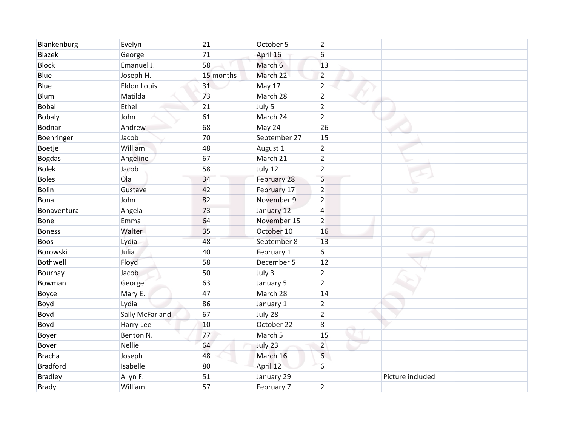| Blankenburg     | Evelyn             | 21        | October 5    | $\overline{2}$   |                  |
|-----------------|--------------------|-----------|--------------|------------------|------------------|
| <b>Blazek</b>   | George             | 71        | April 16     | 6                |                  |
| <b>Block</b>    | Emanuel J.         | 58        | March 6      | 13               |                  |
| Blue            | Joseph H.          | 15 months | March 22     | $\overline{2}$   |                  |
| Blue            | <b>Eldon Louis</b> | 31        | May 17       | $\overline{2}$   |                  |
| Blum            | Matilda            | 73        | March 28     | $\overline{2}$   |                  |
| <b>Bobal</b>    | Ethel              | 21        | July 5       | $\overline{2}$   |                  |
| <b>Bobaly</b>   | John               | 61        | March 24     | $\overline{2}$   |                  |
| Bodnar          | Andrew             | 68        | May 24       | 26               |                  |
| Boehringer      | Jacob              | 70        | September 27 | 15               |                  |
| Boetje          | William            | 48        | August 1     | $\overline{2}$   |                  |
| <b>Bogdas</b>   | Angeline           | 67        | March 21     | $\overline{2}$   |                  |
| <b>Bolek</b>    | Jacob              | 58        | July 12      | $\overline{2}$   |                  |
| <b>Boles</b>    | Ola                | 34        | February 28  | $6\phantom{1}6$  |                  |
| <b>Bolin</b>    | Gustave            | 42        | February 17  | $\overline{2}$   | پ                |
| Bona            | John               | 82        | November 9   | $\overline{2}$   |                  |
| Bonaventura     | Angela             | 73        | January 12   | $\overline{4}$   |                  |
| Bone            | Emma               | 64        | November 15  | $\overline{2}$   |                  |
| <b>Boness</b>   | Walter             | 35        | October 10   | 16               |                  |
| Boos            | Lydia              | 48        | September 8  | 13               |                  |
| Borowski        | Julia              | 40        | February 1   | 6                |                  |
| Bothwell        | Floyd              | 58        | December 5   | 12               |                  |
| Bournay         | Jacob              | 50        | July 3       | $\overline{2}$   |                  |
| Bowman          | George             | 63        | January 5    | $\overline{2}$   |                  |
| Boyce           | Mary E.            | 47        | March 28     | 14               |                  |
| Boyd            | Lydia              | 86        | January 1    | $\overline{2}$   |                  |
| Boyd            | Sally McFarland    | 67        | July 28      | $\overline{2}$   |                  |
| Boyd            | Harry Lee          | 10        | October 22   | $\boldsymbol{8}$ |                  |
| Boyer           | Benton N.          | 77        | March 5      | 15               |                  |
| Boyer           | <b>Nellie</b>      | 64        | July 23      | $\overline{2}$   |                  |
| <b>Bracha</b>   | Joseph             | 48        | March 16     | 6                |                  |
| <b>Bradford</b> | Isabelle           | 80        | April 12     | 6                |                  |
| <b>Bradley</b>  | Allyn F.           | 51        | January 29   |                  | Picture included |
| <b>Brady</b>    | William            | 57        | February 7   | $\overline{2}$   |                  |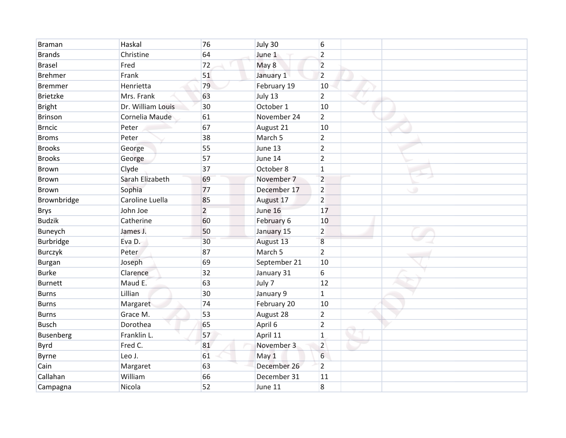| <b>Braman</b>    | Haskal            | 76             | July 30      | 6              |         |
|------------------|-------------------|----------------|--------------|----------------|---------|
| <b>Brands</b>    | Christine         | 64             | June 1       | $\overline{2}$ |         |
| <b>Brasel</b>    | Fred              | 72             | May 8        | $\overline{2}$ |         |
| <b>Brehmer</b>   | Frank             | 51             | January 1    | $\overline{2}$ |         |
| <b>Bremmer</b>   | Henrietta         | 79             | February 19  | 10             |         |
| <b>Brietzke</b>  | Mrs. Frank        | 63             | July 13      | $\overline{2}$ |         |
| <b>Bright</b>    | Dr. William Louis | 30             | October 1    | 10             |         |
| <b>Brinson</b>   | Cornelia Maude    | 61             | November 24  | $\overline{2}$ |         |
| <b>Brncic</b>    | Peter             | 67             | August 21    | 10             |         |
| <b>Broms</b>     | Peter             | 38             | March 5      | $\overline{2}$ |         |
| <b>Brooks</b>    | George            | 55             | June 13      | $\overline{2}$ |         |
| <b>Brooks</b>    | George            | 57             | June 14      | $\overline{2}$ |         |
| <b>Brown</b>     | Clyde             | 37             | October 8    | $\mathbf{1}$   |         |
| <b>Brown</b>     | Sarah Elizabeth   | 69             | November 7   | $\overline{2}$ |         |
| <b>Brown</b>     | Sophia            | 77             | December 17  | $\overline{2}$ | $\circ$ |
| Brownbridge      | Caroline Luella   | 85             | August 17    | $\overline{2}$ |         |
| <b>Brys</b>      | John Joe          | $\overline{2}$ | June 16      | 17             |         |
| <b>Budzik</b>    | Catherine         | 60             | February 6   | 10             |         |
| Buneych          | James J.          | 50             | January 15   | $\overline{2}$ |         |
| Burbridge        | Eva D.            | 30             | August 13    | 8              |         |
| Burczyk          | Peter             | 87             | March 5      | $\overline{2}$ |         |
| Burgan           | Joseph            | 69             | September 21 | 10             |         |
| <b>Burke</b>     | Clarence          | 32             | January 31   | 6              |         |
| <b>Burnett</b>   | Maud E.           | 63             | July 7       | 12             |         |
| <b>Burns</b>     | Lillian           | 30             | January 9    | $\mathbf{1}$   |         |
| <b>Burns</b>     | Margaret          | 74             | February 20  | 10             |         |
| <b>Burns</b>     | Grace M.          | 53             | August 28    | $\overline{2}$ |         |
| <b>Busch</b>     | Dorothea          | 65             | April 6      | $\overline{2}$ |         |
| <b>Busenberg</b> | Franklin L.       | 57             | April 11     | $\overline{1}$ |         |
| Byrd             | Fred C.           | 81             | November 3   | $\overline{2}$ |         |
| Byrne            | Leo J.            | 61             | May 1        | 6              |         |
| Cain             | Margaret          | 63             | December 26  | $\overline{2}$ |         |
| Callahan         | William           | 66             | December 31  | 11             |         |
| Campagna         | Nicola            | 52             | June 11      | 8              |         |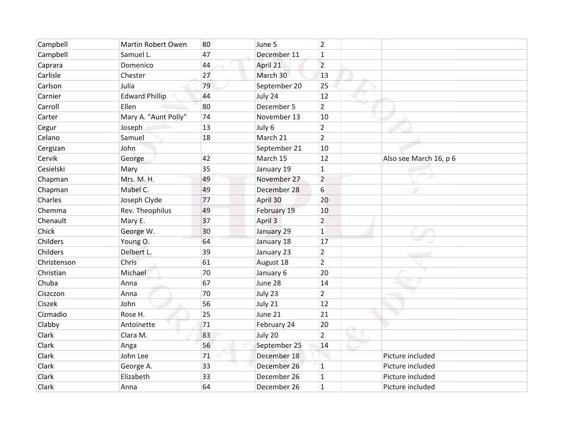| Campbell    | <b>Martin Robert Owen</b> | 80 | June 5       | $\overline{2}$ |                        |
|-------------|---------------------------|----|--------------|----------------|------------------------|
| Campbell    | Samuel L.                 | 47 | December 11  | $\mathbf{1}$   |                        |
| Caprara     | Domenico                  | 44 | April 21     | $\overline{2}$ |                        |
| Carlisle    | Chester                   | 27 | March 30     | 13             |                        |
| Carlson     | Julia                     | 79 | September 20 | 25             |                        |
| Carnier     | <b>Edward Phillip</b>     | 44 | July 24      | 12             |                        |
| Carroll     | Ellen                     | 80 | December 5   | $\overline{2}$ |                        |
| Carter      | Mary A. "Aunt Polly"      | 74 | November 13  | 10             |                        |
| Cegur       | Joseph                    | 13 | July 6       | $\overline{2}$ |                        |
| Celano      | Samuel                    | 18 | March 21     | $\overline{2}$ |                        |
| Cergizan    | John                      |    | September 21 | 10             |                        |
| Cervik      | George                    | 42 | March 15     | 12             | Also see March 16, p 6 |
| Cesielski   | Mary                      | 35 | January 19   | $\mathbf{1}$   |                        |
| Chapman     | Mrs. M. H.                | 49 | November 27  | $\overline{2}$ |                        |
| Chapman     | Mabel C.                  | 49 | December 28  | 6              | ی                      |
| Charles     | Joseph Clyde              | 77 | April 30     | 20             |                        |
| Chemma      | Rev. Theophilus           | 49 | February 19  | 10             |                        |
| Chenault    | Mary E.                   | 37 | April 3      | 2              |                        |
| Chick       | George W.                 | 30 | January 29   | $\mathbf{1}$   |                        |
| Childers    | Young O.                  | 64 | January 18   | 17             |                        |
| Childers    | Delbert L.                | 39 | January 23   | $\overline{2}$ |                        |
| Christenson | Chris                     | 61 | August 18    | $\overline{2}$ |                        |
| Christian   | Michael                   | 70 | January 6    | 20             |                        |
| Chuba       | Anna                      | 67 | June 28      | 14             |                        |
| Ciszczon    | Anna                      | 70 | July 23      | $\overline{2}$ |                        |
| Ciszek      | John                      | 56 | July 21      | 12             |                        |
| Cizmadio    | Rose H.                   | 25 | June 21      | 21             |                        |
| Clabby      | Antoinette                | 71 | February 24  | 20             |                        |
| Clark       | Clara M.                  | 83 | July 20      | $\overline{2}$ |                        |
| Clark       | Anga                      | 56 | September 25 | 14             |                        |
| Clark       | John Lee                  | 71 | December 18  |                | Picture included       |
| Clark       | George A.                 | 33 | December 26  | 1              | Picture included       |
| Clark       | Elizabeth                 | 33 | December 26  | $\mathbf{1}$   | Picture included       |
| Clark       | Anna                      | 64 | December 26  | $\mathbf{1}$   | Picture included       |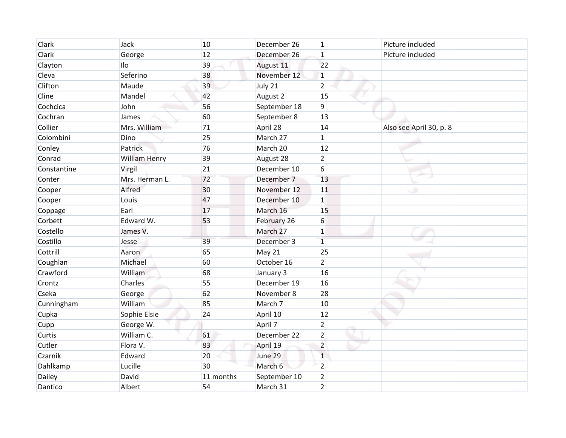| Clark       | Jack           | 10        | December 26  | $\overline{1}$ | Picture included        |
|-------------|----------------|-----------|--------------|----------------|-------------------------|
| Clark       | George         | 12        | December 26  | $\mathbf{1}$   | Picture included        |
| Clayton     | Ilo            | 39        | August 11    | 22             |                         |
| Cleva       | Seferino       | 38        | November 12  | $\mathbf 1$    |                         |
| Clifton     | Maude          | 39        | July 21      | $\overline{2}$ |                         |
| Cline       | Mandel         | 42        | August 2     | 15             |                         |
| Cochcica    | John           | 56        | September 18 | $\overline{9}$ |                         |
| Cochran     | James          | 60        | September 8  | 13             |                         |
| Collier     | Mrs. William   | 71        | April 28     | 14             | Also see April 30, p. 8 |
| Colombini   | Dino           | 25        | March 27     | $\mathbf{1}$   |                         |
| Conley      | Patrick        | 76        | March 20     | 12             |                         |
| Conrad      | William Henry  | 39        | August 28    | $\overline{2}$ |                         |
| Constantine | Virgil         | 21        | December 10  | 6              |                         |
| Conter      | Mrs. Herman L. | 72        | December 7   | 13             |                         |
| Cooper      | Alfred         | 30        | November 12  | 11             | پ                       |
| Cooper      | Louis          | 47        | December 10  | $\mathbf 1$    |                         |
| Coppage     | Earl           | 17        | March 16     | 15             |                         |
| Corbett     | Edward W.      | 53        | February 26  | 6              |                         |
| Costello    | James V.       |           | March 27     | $1\,$          |                         |
| Costillo    | Jesse          | 39        | December 3   | $\mathbf{1}$   |                         |
| Cottrill    | Aaron          | 65        | May 21       | 25             |                         |
| Coughlan    | Michael        | 60        | October 16   | $\overline{2}$ |                         |
| Crawford    | William        | 68        | January 3    | 16             |                         |
| Crontz      | Charles        | 55        | December 19  | 16             |                         |
| Cseka       | George         | 62        | November 8   | 28             |                         |
| Cunningham  | William        | 85        | March 7      | 10             |                         |
| Cupka       | Sophie Elsie   | 24        | April 10     | 12             |                         |
| Cupp        | George W.      |           | April 7      | $\overline{2}$ |                         |
| Curtis      | William C.     | 61        | December 22  | $\overline{2}$ |                         |
| Cutler      | Flora V.       | 83        | April 19     | $\overline{2}$ |                         |
| Czarnik     | Edward         | 20        | June 29      | $\mathbf{1}$   |                         |
| Dahlkamp    | Lucille        | 30        | March 6      | $\overline{2}$ |                         |
| Dailey      | David          | 11 months | September 10 | $\overline{2}$ |                         |
| Dantico     | Albert         | 54        | March 31     | $\overline{2}$ |                         |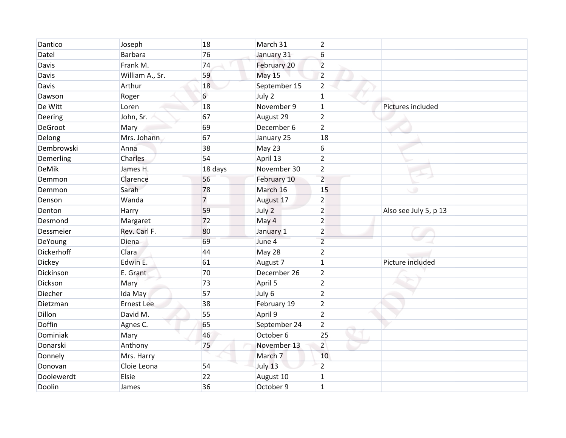| Dantico      | Joseph            | 18             | March 31      | $\overline{2}$ |                       |
|--------------|-------------------|----------------|---------------|----------------|-----------------------|
| Datel        | Barbara           | 76             | January 31    | 6              |                       |
| Davis        | Frank M.          | 74             | February 20   | $\overline{2}$ |                       |
| Davis        | William A., Sr.   | 59             | <b>May 15</b> | $\overline{2}$ |                       |
| Davis        | Arthur            | 18             | September 15  | $\overline{2}$ |                       |
| Dawson       | Roger             | 6              | July 2        | $\mathbf{1}$   |                       |
| De Witt      | Loren             | 18             | November 9    | $\mathbf{1}$   | Pictures included     |
| Deering      | John, Sr.         | 67             | August 29     | $\overline{2}$ |                       |
| DeGroot      | Mary              | 69             | December 6    | $\overline{2}$ |                       |
| Delong       | Mrs. Johann       | 67             | January 25    | 18             |                       |
| Dembrowski   | Anna              | 38             | May 23        | 6              |                       |
| Demerling    | Charles           | 54             | April 13      | $\overline{2}$ |                       |
| <b>DeMik</b> | James H.          | 18 days        | November 30   | $\overline{2}$ |                       |
| Demmon       | Clarence          | 56             | February 10   | $\overline{2}$ |                       |
| Demmon       | Sarah             | 78             | March 16      | 15             | پ                     |
| Denson       | Wanda             | $\overline{7}$ | August 17     | $\overline{2}$ |                       |
| Denton       | Harry             | 59             | July 2        | $\overline{2}$ | Also see July 5, p 13 |
| Desmond      | Margaret          | 72             | May 4         | $\overline{2}$ |                       |
| Dessmeier    | Rev. Carl F.      | 80             | January 1     | $\overline{2}$ |                       |
| DeYoung      | Diena             | 69             | June 4        | $\overline{2}$ |                       |
| Dickerhoff   | Clara             | 44             | May 28        | $\overline{2}$ |                       |
| Dickey       | Edwin E.          | 61             | August 7      | $\mathbf{1}$   | Picture included      |
| Dickinson    | E. Grant          | 70             | December 26   | $\overline{2}$ |                       |
| Dickson      | Mary              | 73             | April 5       | $\overline{2}$ |                       |
| Diecher      | Ida May           | 57             | July 6        | $\overline{2}$ |                       |
| Dietzman     | <b>Ernest Lee</b> | 38             | February 19   | $\overline{2}$ |                       |
| Dillon       | David M.          | 55             | April 9       | $\overline{2}$ |                       |
| Doffin       | Agnes C.          | 65             | September 24  | $\overline{2}$ |                       |
| Dominiak     | Mary              | 46             | October 6     | 25             |                       |
| Donarski     | Anthony           | 75             | November 13   | $\overline{2}$ |                       |
| Donnely      | Mrs. Harry        |                | March 7       | 10             |                       |
| Donovan      | Cloie Leona       | 54             | July 13       | $\overline{2}$ |                       |
| Doolewerdt   | Elsie             | 22             | August 10     | $\mathbf{1}$   |                       |
| Doolin       | James             | 36             | October 9     | $\overline{1}$ |                       |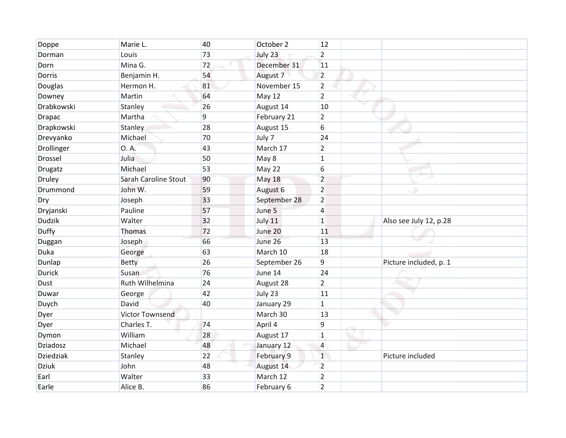| Doppe            | Marie L.             | 40 | October 2     | 12             |                        |
|------------------|----------------------|----|---------------|----------------|------------------------|
| Dorman           | Louis                | 73 | July 23       | $\overline{2}$ |                        |
| Dorn             | Mina G.              | 72 | December 31   | 11             |                        |
| Dorris           | Benjamin H.          | 54 | August 7      | $\overline{2}$ |                        |
| Douglas          | Hermon H.            | 81 | November 15   | $\overline{2}$ |                        |
| Downey           | Martin               | 64 | <b>May 12</b> | $\overline{2}$ |                        |
| Drabkowski       | Stanley              | 26 | August 14     | 10             |                        |
| <b>Drapac</b>    | Martha               | 9  | February 21   | $\overline{2}$ |                        |
| Drapkowski       | Stanley              | 28 | August 15     | 6              |                        |
| Drevyanko        | Michael              | 70 | July 7        | 24             |                        |
| Drollinger       | O. A.                | 43 | March 17      | $\overline{2}$ |                        |
| <b>Drossel</b>   | Julia                | 50 | May 8         | 1              |                        |
| Drugatz          | Michael              | 53 | May 22        | 6              |                        |
| Druley           | Sarah Caroline Stout | 90 | <b>May 18</b> | $\overline{2}$ |                        |
| Drummond         | John W.              | 59 | August 6      | $\overline{2}$ | ی                      |
| Dry              | Joseph               | 33 | September 28  | $\overline{2}$ |                        |
| Dryjanski        | Pauline              | 57 | June 5        | 4              |                        |
| <b>Dudzik</b>    | Walter               | 32 | July 11       | $\mathbf{1}$   | Also see July 12, p.28 |
| Duffy            | <b>Thomas</b>        | 72 | June 20       | 11             |                        |
| Duggan           | Joseph               | 66 | June 26       | 13             |                        |
| Duka             | George               | 63 | March 10      | 18             |                        |
| Dunlap           | <b>Betty</b>         | 26 | September 26  | 9              | Picture included, p. 1 |
| <b>Durick</b>    | Susan                | 76 | June 14       | 24             |                        |
| Dust             | Ruth Wilhelmina      | 24 | August 28     | $\overline{2}$ |                        |
| Duwar            | George               | 42 | July 23       | 11             |                        |
| Duych            | David                | 40 | January 29    | $\mathbf{1}$   |                        |
| Dyer             | Victor Townsend      |    | March 30      | 13             |                        |
| Dyer             | Charles T.           | 74 | April 4       | 9              |                        |
| Dymon            | William              | 28 | August 17     | $\overline{1}$ |                        |
| Dziadosz         | Michael              | 48 | January 12    | $\overline{4}$ |                        |
| <b>Dziedziak</b> | Stanley              | 22 | February 9    | $\mathbf{1}$   | Picture included       |
| <b>Dziuk</b>     | John                 | 48 | August 14     | $\overline{2}$ |                        |
| Earl             | Walter               | 33 | March 12      | $\overline{2}$ |                        |
| Earle            | Alice B.             | 86 | February 6    | $\overline{2}$ |                        |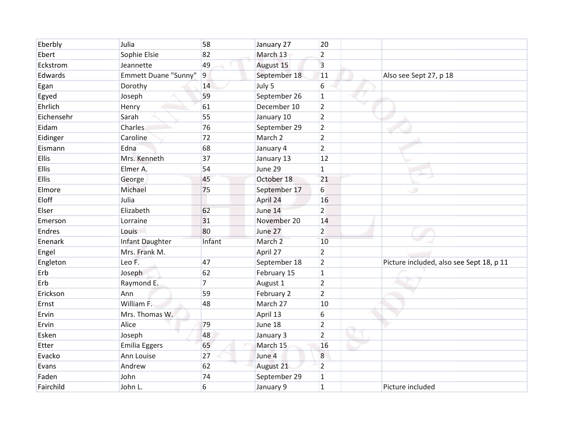| Eberbly      | Julia                | 58               | January 27   | 20             |                                          |
|--------------|----------------------|------------------|--------------|----------------|------------------------------------------|
| Ebert        | Sophie Elsie         | 82               | March 13     | $\overline{2}$ |                                          |
| Eckstrom     | Jeannette            | 49               | August 15    | 3              |                                          |
| Edwards      | Emmett Duane "Sunny" | $\boldsymbol{9}$ | September 18 | 11             | Also see Sept 27, p 18                   |
| Egan         | Dorothy              | 14               | July 5       | 6              |                                          |
| Egyed        | Joseph               | 59               | September 26 | $\mathbf 1$    |                                          |
| Ehrlich      | Henry                | 61               | December 10  | $\overline{2}$ |                                          |
| Eichensehr   | Sarah                | 55               | January 10   | $\overline{2}$ |                                          |
| Eidam        | Charles              | 76               | September 29 | $\overline{2}$ |                                          |
| Eidinger     | Caroline             | 72               | March 2      | $\overline{2}$ |                                          |
| Eismann      | Edna                 | 68               | January 4    | $\overline{2}$ |                                          |
| <b>Ellis</b> | Mrs. Kenneth         | 37               | January 13   | 12             |                                          |
| Ellis        | Elmer A.             | 54               | June 29      | $\mathbf{1}$   |                                          |
| Ellis        | George               | 45               | October 18   | 21             |                                          |
| Elmore       | Michael              | 75               | September 17 | 6              | $\circ$                                  |
| Eloff        | Julia                |                  | April 24     | 16             |                                          |
| Elser        | Elizabeth            | 62               | June 14      | $\overline{2}$ |                                          |
| Emerson      | Lorraine             | 31               | November 20  | 14             |                                          |
| Endres       | Louis                | 80               | June 27      | $\overline{2}$ |                                          |
| Enenark      | Infant Daughter      | Infant           | March 2      | 10             |                                          |
| Engel        | Mrs. Frank M.        |                  | April 27     | $\overline{2}$ |                                          |
| Engleton     | Leo F.               | 47               | September 18 | $\overline{2}$ | Picture included, also see Sept 18, p 11 |
| Erb          | Joseph               | 62               | February 15  | $\mathbf{1}$   |                                          |
| Erb          | Raymond E.           | 7                | August 1     | $\overline{2}$ |                                          |
| Erickson     | Ann                  | 59               | February 2   | $\overline{2}$ |                                          |
| Ernst        | William F.           | 48               | March 27     | 10             |                                          |
| Ervin        | Mrs. Thomas W.       |                  | April 13     | 6              |                                          |
| Ervin        | Alice                | 79               | June 18      | $\overline{2}$ |                                          |
| Esken        | Joseph               | 48               | January 3    | $\overline{2}$ |                                          |
| Etter        | <b>Emilia Eggers</b> | 65               | March 15     | 16             |                                          |
| Evacko       | Ann Louise           | 27               | June 4       | 8              |                                          |
| Evans        | Andrew               | 62               | August 21    | $\overline{2}$ |                                          |
| Faden        | John                 | 74               | September 29 | 1              |                                          |
| Fairchild    | John L.              | 6                | January 9    | $\overline{1}$ | Picture included                         |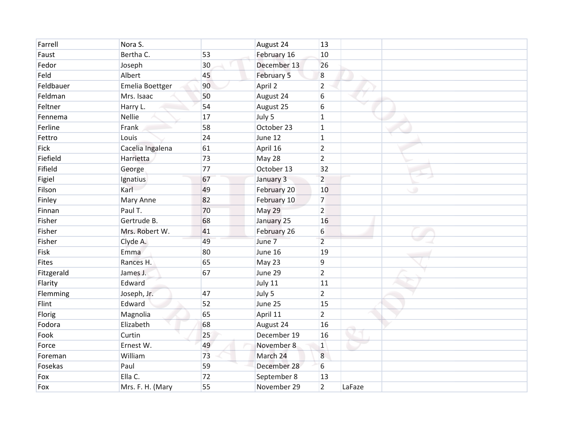| Farrell    | Nora S.          |    | August 24   | 13               |        |   |
|------------|------------------|----|-------------|------------------|--------|---|
| Faust      | Bertha C.        | 53 | February 16 | 10               |        |   |
| Fedor      | Joseph           | 30 | December 13 | 26               |        |   |
| Feld       | Albert           | 45 | February 5  | $\boldsymbol{8}$ |        |   |
| Feldbauer  | Emelia Boettger  | 90 | April 2     | $\overline{2}$   |        |   |
| Feldman    | Mrs. Isaac       | 50 | August 24   | 6                |        |   |
| Feltner    | Harry L.         | 54 | August 25   | 6                |        |   |
| Fennema    | <b>Nellie</b>    | 17 | July 5      | $\mathbf{1}$     |        |   |
| Ferline    | Frank            | 58 | October 23  | $\mathbf{1}$     |        |   |
| Fettro     | Louis            | 24 | June 12     | $\mathbf{1}$     |        |   |
| Fick       | Cacelia Ingalena | 61 | April 16    | $\overline{2}$   |        |   |
| Fiefield   | Harrietta        | 73 | May 28      | $\overline{2}$   |        |   |
| Fifield    | George           | 77 | October 13  | 32               |        |   |
| Figiel     | Ignatius         | 67 | January 3   | $\overline{2}$   |        |   |
| Filson     | Karl             | 49 | February 20 | 10               |        | ی |
| Finley     | Mary Anne        | 82 | February 10 | $\overline{7}$   |        |   |
| Finnan     | Paul T.          | 70 | May 29      | $\overline{2}$   |        |   |
| Fisher     | Gertrude B.      | 68 | January 25  | 16               |        |   |
| Fisher     | Mrs. Robert W.   | 41 | February 26 | 6                |        |   |
| Fisher     | Clyde A.         | 49 | June 7      | $\overline{2}$   |        |   |
| Fisk       | <b>Emma</b>      | 80 | June 16     | 19               |        |   |
| Fites      | Rances H.        | 65 | May 23      | 9                |        |   |
| Fitzgerald | James J.         | 67 | June 29     | $\overline{2}$   |        |   |
| Flarity    | Edward           |    | July 11     | 11               |        |   |
| Flemming   | Joseph, Jr.      | 47 | July 5      | $\overline{2}$   |        |   |
| Flint      | Edward           | 52 | June 25     | 15               |        |   |
| Florig     | Magnolia         | 65 | April 11    | $\overline{2}$   |        |   |
| Fodora     | Elizabeth        | 68 | August 24   | 16               |        |   |
| Fook       | Curtin           | 25 | December 19 | 16               |        |   |
| Force      | Ernest W.        | 49 | November 8  | $\mathbf{1}$     |        |   |
| Foreman    | William          | 73 | March 24    | 8                |        |   |
| Fosekas    | Paul             | 59 | December 28 | 6                |        |   |
| Fox        | Ella C.          | 72 | September 8 | 13               |        |   |
| Fox        | Mrs. F. H. (Mary | 55 | November 29 | $\overline{2}$   | LaFaze |   |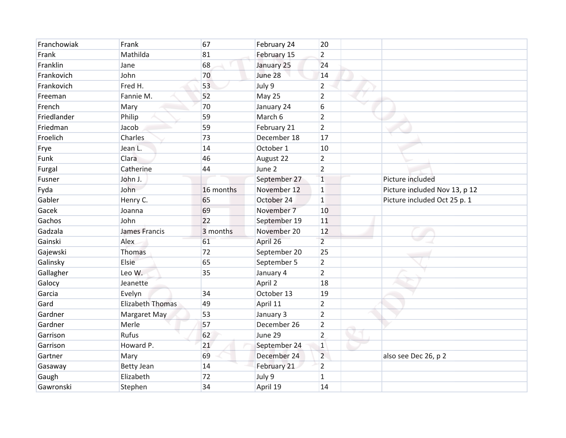| Franchowiak | Frank                   | 67        | February 24  | 20             |                               |
|-------------|-------------------------|-----------|--------------|----------------|-------------------------------|
| Frank       | Mathilda                | 81        | February 15  | $\overline{2}$ |                               |
| Franklin    | Jane                    | 68        | January 25   | 24             |                               |
| Frankovich  | John                    | 70        | June 28      | 14             |                               |
| Frankovich  | Fred H.                 | 53        | July 9       | $\overline{2}$ |                               |
| Freeman     | Fannie M.               | 52        | May 25       | $\overline{2}$ |                               |
| French      | Mary                    | 70        | January 24   | 6              |                               |
| Friedlander | Philip                  | 59        | March 6      | $\overline{2}$ |                               |
| Friedman    | Jacob                   | 59        | February 21  | $\overline{2}$ |                               |
| Froelich    | Charles                 | 73        | December 18  | 17             |                               |
| Frye        | Jean L.                 | 14        | October 1    | 10             |                               |
| Funk        | Clara                   | 46        | August 22    | $\overline{2}$ |                               |
| Furgal      | Catherine               | 44        | June 2       | $\overline{2}$ |                               |
| Fusner      | John J.                 |           | September 27 | $\mathbf 1$    | Picture included              |
| Fyda        | John                    | 16 months | November 12  | $\mathbf{1}$   | Picture included Nov 13, p 12 |
| Gabler      | Henry C.                | 65        | October 24   | $\mathbf{1}$   | Picture included Oct 25 p. 1  |
| Gacek       | Joanna                  | 69        | November 7   | 10             |                               |
| Gachos      | John                    | 22        | September 19 | 11             |                               |
| Gadzala     | James Francis           | 3 months  | November 20  | 12             |                               |
| Gainski     | Alex                    | 61        | April 26     | $\overline{2}$ |                               |
| Gajewski    | <b>Thomas</b>           | 72        | September 20 | 25             |                               |
| Galinsky    | Elsie                   | 65        | September 5  | $\overline{2}$ |                               |
| Gallagher   | Leo W.                  | 35        | January 4    | $\overline{2}$ |                               |
| Galocy      | Jeanette                |           | April 2      | 18             |                               |
| Garcia      | Evelyn                  | 34        | October 13   | 19             |                               |
| Gard        | <b>Elizabeth Thomas</b> | 49        | April 11     | $\overline{2}$ |                               |
| Gardner     | Margaret May            | 53        | January 3    | $\overline{2}$ |                               |
| Gardner     | Merle                   | 57        | December 26  | $\overline{2}$ |                               |
| Garrison    | Rufus                   | 62        | June 29      | $\overline{2}$ |                               |
| Garrison    | Howard P.               | 21        | September 24 | $\mathbf{1}$   |                               |
| Gartner     | Mary                    | 69        | December 24  | $\overline{2}$ | also see Dec 26, p 2          |
| Gasaway     | <b>Betty Jean</b>       | 14        | February 21  | $\overline{2}$ |                               |
| Gaugh       | Elizabeth               | 72        | July 9       | $\mathbf{1}$   |                               |
| Gawronski   | Stephen                 | 34        | April 19     | 14             |                               |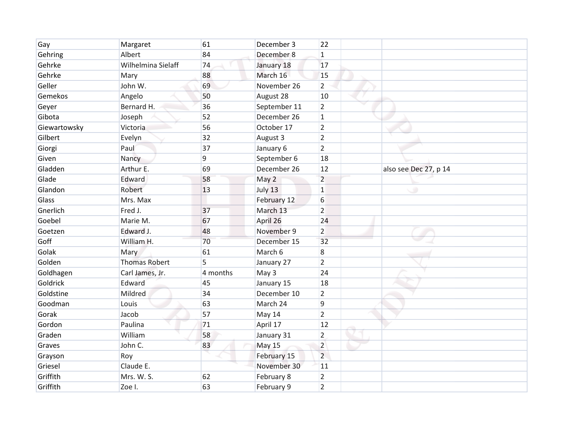| Gay          | Margaret             | 61       | December 3   | 22             |                       |  |
|--------------|----------------------|----------|--------------|----------------|-----------------------|--|
| Gehring      | Albert               | 84       | December 8   | $\mathbf{1}$   |                       |  |
| Gehrke       | Wilhelmina Sielaff   | 74       | January 18   | 17             |                       |  |
| Gehrke       | Mary                 | 88       | March 16     | 15             |                       |  |
| Geller       | John W.              | 69       | November 26  | $\overline{2}$ |                       |  |
| Gemekos      | Angelo               | 50       | August 28    | 10             |                       |  |
| Geyer        | Bernard H.           | 36       | September 11 | $\overline{2}$ |                       |  |
| Gibota       | Joseph               | 52       | December 26  | $\mathbf{1}$   |                       |  |
| Giewartowsky | Victoria             | 56       | October 17   | $\overline{2}$ |                       |  |
| Gilbert      | Evelyn               | 32       | August 3     | $\overline{2}$ |                       |  |
| Giorgi       | Paul                 | 37       | January 6    | $\overline{2}$ |                       |  |
| Given        | Nancy                | 9        | September 6  | 18             |                       |  |
| Gladden      | Arthur E.            | 69       | December 26  | 12             | also see Dec 27, p 14 |  |
| Glade        | Edward               | 58       | May 2        | $\overline{2}$ |                       |  |
| Glandon      | Robert               | 13       | July 13      | $\mathbf{1}$   | $\circ$               |  |
| Glass        | Mrs. Max             |          | February 12  | 6              |                       |  |
| Gnerlich     | Fred J.              | 37       | March 13     | $\overline{2}$ |                       |  |
| Goebel       | Marie M.             | 67       | April 26     | 24             |                       |  |
| Goetzen      | Edward J.            | 48       | November 9   | $\overline{2}$ |                       |  |
| Goff         | William H.           | 70       | December 15  | 32             |                       |  |
| Golak        | Mary                 | 61       | March 6      | 8              |                       |  |
| Golden       | <b>Thomas Robert</b> | 5        | January 27   | $\overline{2}$ |                       |  |
| Goldhagen    | Carl James, Jr.      | 4 months | May 3        | 24             |                       |  |
| Goldrick     | Edward               | 45       | January 15   | 18             |                       |  |
| Goldstine    | Mildred              | 34       | December 10  | $\overline{2}$ |                       |  |
| Goodman      | Louis                | 63       | March 24     | 9              |                       |  |
| Gorak        | Jacob                | 57       | May 14       | $\overline{2}$ |                       |  |
| Gordon       | Paulina              | 71       | April 17     | 12             |                       |  |
| Graden       | William              | 58       | January 31   | $\overline{2}$ |                       |  |
| Graves       | John C.              | 83       | May 15       | $\overline{2}$ |                       |  |
| Grayson      | Roy                  |          | February 15  | $\overline{2}$ |                       |  |
| Griesel      | Claude E.            |          | November 30  | 11             |                       |  |
| Griffith     | Mrs. W. S.           | 62       | February 8   | $\overline{2}$ |                       |  |
| Griffith     | Zoe I.               | 63       | February 9   | $\overline{2}$ |                       |  |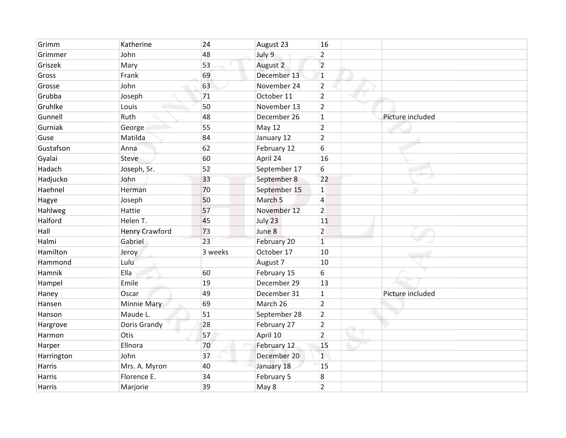| Grimm      | Katherine             | 24      | August 23          | 16             |                  |
|------------|-----------------------|---------|--------------------|----------------|------------------|
| Grimmer    | John                  | 48      | July 9             | $\overline{2}$ |                  |
| Griszek    | Mary                  | 53      | August 2           | $\overline{2}$ |                  |
| Gross      | Frank                 | 69      | December 13        | $\mathbf{1}$   |                  |
| Grosse     | John                  | 63      | November 24        | $\overline{2}$ |                  |
| Grubba     | Joseph                | 71      | October 11         | $\overline{2}$ |                  |
| Gruhlke    | Louis                 | 50      | November 13        | $\overline{2}$ |                  |
| Gunnell    | Ruth                  | 48      | December 26        | $\mathbf{1}$   | Picture included |
| Gurniak    | George                | 55      | <b>May 12</b>      | $\overline{2}$ |                  |
| Guse       | Matilda               | 84      | January 12         | $\overline{2}$ |                  |
| Gustafson  | Anna                  | 62      | February 12        | 6              |                  |
| Gyalai     | <b>Steve</b>          | 60      | April 24           | 16             |                  |
| Hadach     | Joseph, Sr.           | 52      | September 17       | 6              |                  |
| Hadjucko   | John                  | 33      | September 8        | 22             |                  |
| Haehnel    | Herman                | 70      | September 15       | $\mathbf{1}$   | پ                |
| Hagye      | Joseph                | 50      | March <sub>5</sub> | $\overline{a}$ |                  |
| Hahlweg    | Hattie                | 57      | November 12        | $\overline{2}$ |                  |
| Halford    | Helen T.              | 45      | July 23            | 11             |                  |
| Hall       | <b>Henry Crawford</b> | 73      | June 8             | $\overline{2}$ |                  |
| Halmi      | Gabriel               | 23      | February 20        | $\overline{1}$ |                  |
| Hamilton   | Jeroy                 | 3 weeks | October 17         | 10             |                  |
| Hammond    | Lulu                  |         | August 7           | 10             |                  |
| Hamnik     | Ella                  | 60      | February 15        | 6              |                  |
| Hampel     | Emile                 | 19      | December 29        | 13             |                  |
| Haney      | Oscar                 | 49      | December 31        | $\mathbf{1}$   | Picture included |
| Hansen     | Minnie Mary           | 69      | March 26           | $\overline{2}$ |                  |
| Hanson     | Maude L.              | 51      | September 28       | $\overline{2}$ |                  |
| Hargrove   | Doris Grandy          | 28      | February 27        | $\overline{2}$ |                  |
| Harmon     | Otis                  | 57      | April 10           | $\overline{2}$ |                  |
| Harper     | Ellnora               | 70      | February 12        | 15             |                  |
| Harrington | John                  | 37      | December 20        | $\mathbf{1}$   |                  |
| Harris     | Mrs. A. Myron         | 40      | January 18         | 15             |                  |
| Harris     | Florence E.           | 34      | February 5         | 8              |                  |
| Harris     | Marjorie              | 39      | May 8              | $\overline{2}$ |                  |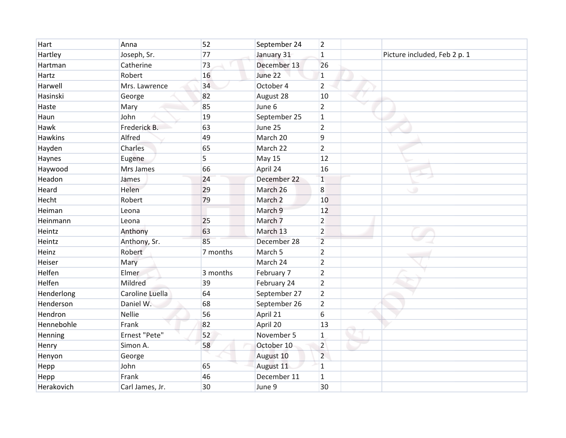| Hart           | Anna            | 52       | September 24       | $\overline{2}$ |                              |  |
|----------------|-----------------|----------|--------------------|----------------|------------------------------|--|
| Hartley        | Joseph, Sr.     | 77       | January 31         | $\mathbf{1}$   | Picture included, Feb 2 p. 1 |  |
| Hartman        | Catherine       | 73       | December 13        | 26             |                              |  |
| Hartz          | Robert          | 16       | June 22            | $\mathbf{1}$   |                              |  |
| Harwell        | Mrs. Lawrence   | 34       | October 4          | $\overline{2}$ |                              |  |
| Hasinski       | George          | 82       | August 28          | 10             |                              |  |
| Haste          | Mary            | 85       | June 6             | $\overline{2}$ |                              |  |
| Haun           | John            | 19       | September 25       | $\mathbf{1}$   |                              |  |
| Hawk           | Frederick B.    | 63       | June 25            | $\overline{2}$ |                              |  |
| <b>Hawkins</b> | Alfred          | 49       | March 20           | 9              |                              |  |
| Hayden         | Charles         | 65       | March 22           | $\overline{2}$ |                              |  |
| Haynes         | Eugene          | 5        | <b>May 15</b>      | 12             |                              |  |
| Haywood        | Mrs James       | 66       | April 24           | 16             |                              |  |
| Headon         | James           | 24       | December 22        | $\mathbf{1}$   |                              |  |
| Heard          | Helen           | 29       | March 26           | 8              | $\circ$                      |  |
| Hecht          | Robert          | 79       | March <sub>2</sub> | 10             |                              |  |
| Heiman         | Leona           |          | March 9            | 12             |                              |  |
| Heinmann       | Leona           | 25       | March 7            | $\overline{2}$ |                              |  |
| Heintz         | Anthony         | 63       | March 13           | $\overline{2}$ |                              |  |
| Heintz         | Anthony, Sr.    | 85       | December 28        | $\overline{2}$ |                              |  |
| Heinz          | Robert          | 7 months | March 5            | $\overline{2}$ |                              |  |
| Heiser         | Mary            |          | March 24           | $\overline{2}$ |                              |  |
| Helfen         | Elmer           | 3 months | February 7         | $\overline{2}$ |                              |  |
| Helfen         | Mildred         | 39       | February 24        | $\overline{2}$ |                              |  |
| Henderlong     | Caroline Luella | 64       | September 27       | $\overline{2}$ |                              |  |
| Henderson      | Daniel W.       | 68       | September 26       | $\overline{2}$ |                              |  |
| Hendron        | Nellie          | 56       | April 21           | 6              |                              |  |
| Hennebohle     | Frank           | 82       | April 20           | 13             |                              |  |
| Henning        | Ernest "Pete"   | 52       | November 5         | $\mathbf{1}$   |                              |  |
| Henry          | Simon A.        | 58       | October 10         | $\overline{2}$ |                              |  |
| Henyon         | George          |          | August 10          | $\overline{2}$ |                              |  |
| Hepp           | John            | 65       | August 11          | 1              |                              |  |
| Hepp           | Frank           | 46       | December 11        | $\mathbf{1}$   |                              |  |
| Herakovich     | Carl James, Jr. | 30       | June 9             | 30             |                              |  |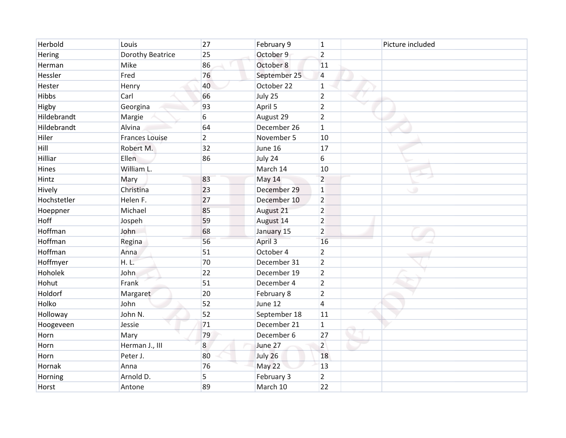| Herbold      | Louis                 | 27             | February 9   | $\mathbf{1}$   | Picture included |
|--------------|-----------------------|----------------|--------------|----------------|------------------|
| Hering       | Dorothy Beatrice      | 25             | October 9    | $\overline{2}$ |                  |
| Herman       | Mike                  | 86             | October 8    | 11             |                  |
| Hessler      | Fred                  | 76             | September 25 | $\overline{4}$ |                  |
| Hester       | Henry                 | 40             | October 22   | $\mathbf{1}$   |                  |
| <b>Hibbs</b> | Carl                  | 66             | July 25      | $\overline{2}$ |                  |
| Higby        | Georgina              | 93             | April 5      | $\overline{2}$ |                  |
| Hildebrandt  | Margie                | 6              | August 29    | $\overline{2}$ |                  |
| Hildebrandt  | Alvina                | 64             | December 26  | $\mathbf{1}$   |                  |
| Hiler        | <b>Frances Louise</b> | $\overline{2}$ | November 5   | 10             |                  |
| Hill         | Robert M.             | 32             | June 16      | 17             |                  |
| Hilliar      | Ellen                 | 86             | July 24      | 6              |                  |
| Hines        | William L.            |                | March 14     | 10             |                  |
| Hintz        | Mary                  | 83             | May 14       | $\overline{2}$ |                  |
| Hively       | Christina             | 23             | December 29  | $\mathbf{1}$   | $\circ$          |
| Hochstetler  | Helen F.              | 27             | December 10  | $\overline{2}$ |                  |
| Hoeppner     | Michael               | 85             | August 21    | $\overline{2}$ |                  |
| Hoff         | Jospeh                | 59             | August 14    | $\overline{2}$ |                  |
| Hoffman      | John                  | 68             | January 15   | $\overline{2}$ |                  |
| Hoffman      | Regina                | 56             | April 3      | 16             |                  |
| Hoffman      | Anna                  | 51             | October 4    | $\overline{2}$ |                  |
| Hoffmyer     | H. L.                 | 70             | December 31  | $\overline{2}$ |                  |
| Hoholek      | John                  | 22             | December 19  | $\overline{2}$ |                  |
| Hohut        | Frank                 | 51             | December 4   | $\overline{2}$ |                  |
| Holdorf      | Margaret              | 20             | February 8   | $\overline{2}$ |                  |
| Holko        | John                  | 52             | June 12      | $\overline{4}$ |                  |
| Holloway     | John N.               | 52             | September 18 | 11             |                  |
| Hoogeveen    | Jessie                | 71             | December 21  | $\mathbf{1}$   |                  |
| Horn         | Mary                  | 79             | December 6   | 27             |                  |
| Horn         | Herman J., III        | 8              | June 27      | $\overline{2}$ |                  |
| Horn         | Peter J.              | 80             | July 26      | 18             |                  |
| Hornak       | Anna                  | 76             | May 22       | 13             |                  |
| Horning      | Arnold D.             | 5              | February 3   | $\overline{2}$ |                  |
| Horst        | Antone                | 89             | March 10     | 22             |                  |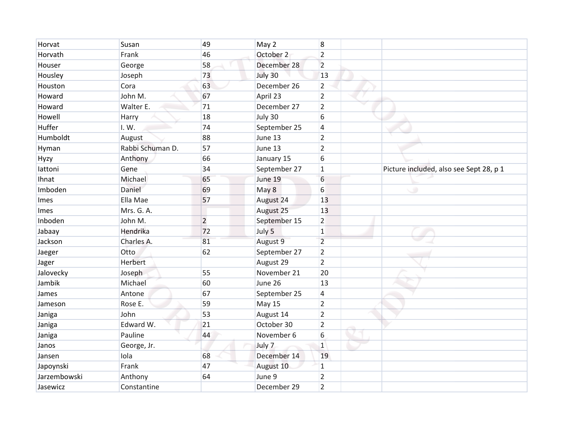| Horvat       | Susan            | 49             | May 2         | 8              |                                         |
|--------------|------------------|----------------|---------------|----------------|-----------------------------------------|
| Horvath      | Frank            | 46             | October 2     | $\overline{2}$ |                                         |
| Houser       | George           | 58             | December 28   | $\overline{2}$ |                                         |
| Housley      | Joseph           | 73             | July 30       | 13             |                                         |
| Houston      | Cora             | 63             | December 26   | $\overline{2}$ |                                         |
| Howard       | John M.          | 67             | April 23      | $\overline{2}$ |                                         |
| Howard       | Walter E.        | 71             | December 27   | $\overline{2}$ |                                         |
| Howell       | Harry            | 18             | July 30       | 6              |                                         |
| Huffer       | I. W.            | 74             | September 25  | 4              |                                         |
| Humboldt     | August           | 88             | June 13       | $\overline{2}$ |                                         |
| Hyman        | Rabbi Schuman D. | 57             | June 13       | $\overline{2}$ |                                         |
| Hyzy         | Anthony          | 66             | January 15    | 6              |                                         |
| lattoni      | Gene             | 34             | September 27  | $1\,$          | Picture included, also see Sept 28, p 1 |
| Ihnat        | Michael          | 65             | June 19       | 6              |                                         |
| Imboden      | Daniel           | 69             | May 8         | 6              | $\circ$                                 |
| Imes         | Ella Mae         | 57             | August 24     | 13             |                                         |
| Imes         | Mrs. G. A.       |                | August 25     | 13             |                                         |
| Inboden      | John M.          | $\overline{2}$ | September 15  | 2              |                                         |
| Jabaay       | Hendrika         | 72             | July 5        | $\mathbf{1}$   |                                         |
| Jackson      | Charles A.       | 81             | August 9      | $\overline{2}$ |                                         |
| Jaeger       | Otto             | 62             | September 27  | $\overline{2}$ |                                         |
| Jager        | Herbert          |                | August 29     | $\overline{2}$ |                                         |
| Jalovecky    | Joseph           | 55             | November 21   | 20             |                                         |
| Jambik       | Michael          | 60             | June 26       | 13             |                                         |
| James        | Antone           | 67             | September 25  | 4              |                                         |
| Jameson      | Rose E.          | 59             | <b>May 15</b> | $\overline{2}$ |                                         |
| Janiga       | John             | 53             | August 14     | $\overline{2}$ |                                         |
| Janiga       | Edward W.        | 21             | October 30    | $\overline{2}$ |                                         |
| Janiga       | Pauline          | 44             | November 6    | 6              |                                         |
| Janos        | George, Jr.      |                | July 7        | $1\,$          |                                         |
| Jansen       | lola             | 68             | December 14   | 19             |                                         |
| Japoynski    | Frank            | 47             | August 10     | 1              |                                         |
| Jarzembowski | Anthony          | 64             | June 9        | $\overline{2}$ |                                         |
| Jasewicz     | Constantine      |                | December 29   | $\overline{2}$ |                                         |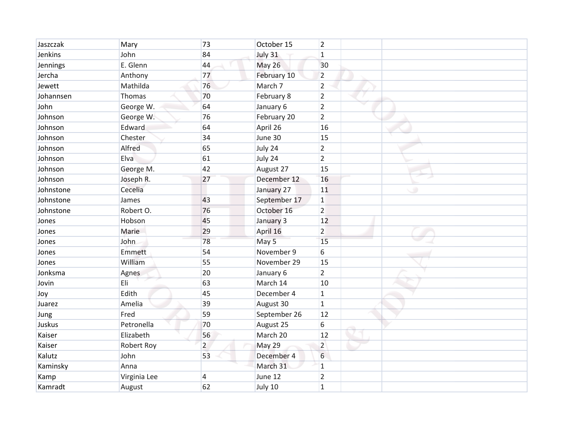| Jaszczak  | Mary         | 73             | October 15    | 2              |         |
|-----------|--------------|----------------|---------------|----------------|---------|
| Jenkins   | John         | 84             | July 31       | $\mathbf{1}$   |         |
| Jennings  | E. Glenn     | 44             | <b>May 26</b> | 30             |         |
| Jercha    | Anthony      | 77             | February 10   | $\overline{2}$ |         |
| Jewett    | Mathilda     | 76             | March 7       | $\overline{2}$ |         |
| Johannsen | Thomas       | 70             | February 8    | $\overline{2}$ |         |
| John      | George W.    | 64             | January 6     | $\overline{2}$ |         |
| Johnson   | George W.    | 76             | February 20   | $\overline{2}$ |         |
| Johnson   | Edward       | 64             | April 26      | 16             |         |
| Johnson   | Chester      | 34             | June 30       | 15             |         |
| Johnson   | Alfred       | 65             | July 24       | $\overline{2}$ |         |
| Johnson   | Elva         | 61             | July 24       | $\overline{2}$ |         |
| Johnson   | George M.    | 42             | August 27     | 15             |         |
| Johnson   | Joseph R.    | 27             | December 12   | 16             |         |
| Johnstone | Cecelia      |                | January 27    | 11             | $\circ$ |
| Johnstone | James        | 43             | September 17  | $\mathbf 1$    |         |
| Johnstone | Robert O.    | 76             | October 16    | $\overline{2}$ |         |
| Jones     | Hobson       | 45             | January 3     | 12             |         |
| Jones     | Marie        | 29             | April 16      | $\overline{2}$ |         |
| Jones     | John         | 78             | May 5         | 15             |         |
| Jones     | Emmett       | 54             | November 9    | 6              |         |
| Jones     | William      | 55             | November 29   | 15             |         |
| Jonksma   | Agnes        | 20             | January 6     | $\overline{2}$ |         |
| Jovin     | Eli          | 63             | March 14      | 10             |         |
| Joy       | Edith        | 45             | December 4    | $\mathbf{1}$   |         |
| Juarez    | Amelia       | 39             | August 30     | $\mathbf{1}$   |         |
| Jung      | Fred         | 59             | September 26  | 12             |         |
| Juskus    | Petronella   | 70             | August 25     | 6              |         |
| Kaiser    | Elizabeth    | 56             | March 20      | 12             |         |
| Kaiser    | Robert Roy   | $\overline{2}$ | May 29        | $\overline{2}$ |         |
| Kalutz    | John         | 53             | December 4    | 6              |         |
| Kaminsky  | Anna         |                | March 31      | $\mathbf{1}$   |         |
| Kamp      | Virginia Lee | 4              | June 12       | $\overline{2}$ |         |
| Kamradt   | August       | 62             | July 10       | $\overline{1}$ |         |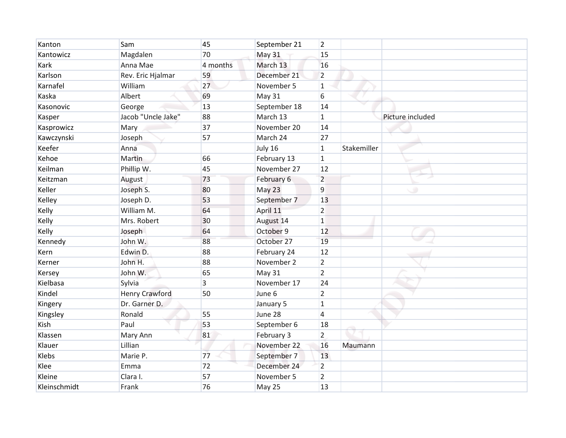| Kanton       | Sam                   | 45       | September 21  | $\overline{2}$ |             |                  |
|--------------|-----------------------|----------|---------------|----------------|-------------|------------------|
| Kantowicz    | Magdalen              | 70       | <b>May 31</b> | 15             |             |                  |
| Kark         | Anna Mae              | 4 months | March 13      | 16             |             |                  |
| Karlson      | Rev. Eric Hjalmar     | 59       | December 21   | $\overline{2}$ |             |                  |
| Karnafel     | William               | 27       | November 5    | 1              |             |                  |
| Kaska        | Albert                | 69       | <b>May 31</b> | 6              |             |                  |
| Kasonovic    | George                | 13       | September 18  | 14             |             |                  |
| Kasper       | Jacob "Uncle Jake"    | 88       | March 13      | $\mathbf{1}$   |             | Picture included |
| Kasprowicz   | Mary                  | 37       | November 20   | 14             |             |                  |
| Kawczynski   | Joseph                | 57       | March 24      | 27             |             |                  |
| Keefer       | Anna                  |          | July 16       | $\mathbf{1}$   | Stakemiller |                  |
| Kehoe        | Martin                | 66       | February 13   | $\mathbf{1}$   |             |                  |
| Keilman      | Phillip W.            | 45       | November 27   | 12             |             |                  |
| Keitzman     | August                | 73       | February 6    | $\overline{2}$ |             |                  |
| Keller       | Joseph S.             | 80       | May 23        | 9              |             | $\circ$          |
| Kelley       | Joseph D.             | 53       | September 7   | 13             |             |                  |
| Kelly        | William M.            | 64       | April 11      | $\overline{2}$ |             |                  |
| Kelly        | Mrs. Robert           | 30       | August 14     | $\mathbf{1}$   |             |                  |
| Kelly        | Joseph                | 64       | October 9     | 12             |             |                  |
| Kennedy      | John W.               | 88       | October 27    | 19             |             |                  |
| Kern         | Edwin D.              | 88       | February 24   | 12             |             |                  |
| Kerner       | John H.               | 88       | November 2    | $\overline{2}$ |             |                  |
| Kersey       | John W.               | 65       | <b>May 31</b> | $\overline{2}$ |             |                  |
| Kielbasa     | Sylvia                | 3        | November 17   | 24             |             |                  |
| Kindel       | <b>Henry Crawford</b> | 50       | June 6        | $\overline{2}$ |             |                  |
| Kingery      | Dr. Garner D.         |          | January 5     | $\mathbf{1}$   |             |                  |
| Kingsley     | Ronald                | 55       | June 28       | 4              |             |                  |
| Kish         | Paul                  | 53       | September 6   | 18             |             |                  |
| Klassen      | Mary Ann              | 81       | February 3    | $\overline{2}$ |             |                  |
| Klauer       | Lillian               |          | November 22   | 16             | Maumann     |                  |
| Klebs        | Marie P.              | 77       | September 7   | 13             |             |                  |
| Klee         | Emma                  | 72       | December 24   | $\overline{2}$ |             |                  |
| Kleine       | Clara I.              | 57       | November 5    | $\overline{2}$ |             |                  |
| Kleinschmidt | Frank                 | 76       | May 25        | 13             |             |                  |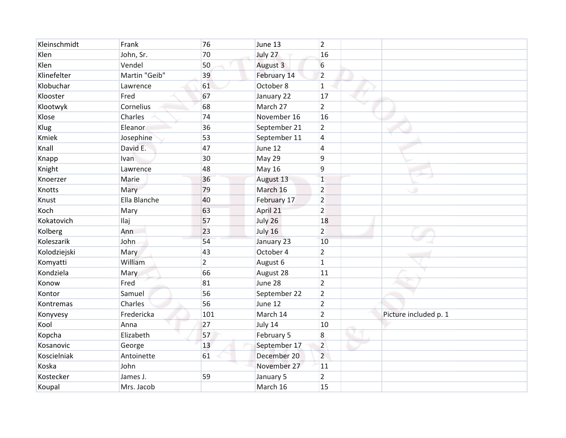| Kleinschmidt | Frank         | 76             | June 13       | $\overline{2}$ |                       |
|--------------|---------------|----------------|---------------|----------------|-----------------------|
| Klen         | John, Sr.     | 70             | July 27       | 16             |                       |
| Klen         | Vendel        | 50             | August 3      | 6              |                       |
| Klinefelter  | Martin "Geib" | 39             | February 14   | $\overline{2}$ |                       |
| Klobuchar    | Lawrence      | 61             | October 8     | 1              |                       |
| Klooster     | Fred          | 67             | January 22    | 17             |                       |
| Klootwyk     | Cornelius     | 68             | March 27      | $\overline{2}$ |                       |
| Klose        | Charles       | 74             | November 16   | 16             |                       |
| Klug         | Eleanor       | 36             | September 21  | $\overline{2}$ |                       |
| Kmiek        | Josephine     | 53             | September 11  | $\overline{4}$ |                       |
| Knall        | David E.      | 47             | June 12       | 4              |                       |
| Knapp        | <b>Ivan</b>   | 30             | May 29        | 9              |                       |
| Knight       | Lawrence      | 48             | <b>May 16</b> | 9              |                       |
| Knoerzer     | Marie         | 36             | August 13     | $\mathbf{1}$   |                       |
| Knotts       | Mary          | 79             | March 16      | $\overline{2}$ | $\circ$               |
| Knust        | Ella Blanche  | 40             | February 17   | $\overline{2}$ |                       |
| Koch         | Mary          | 63             | April 21      | $\overline{2}$ |                       |
| Kokatovich   | <b>Ilaj</b>   | 57             | July 26       | 18             |                       |
| Kolberg      | Ann           | 23             | July 16       | $\overline{2}$ |                       |
| Koleszarik   | John          | 54             | January 23    | 10             |                       |
| Kolodziejski | Mary          | 43             | October 4     | $\overline{2}$ |                       |
| Komyatti     | William       | $\overline{2}$ | August 6      | 1              |                       |
| Kondziela    | Mary          | 66             | August 28     | 11             |                       |
| Konow        | Fred          | 81             | June 28       | $\overline{2}$ |                       |
| Kontor       | Samuel        | 56             | September 22  | $\overline{2}$ |                       |
| Kontremas    | Charles       | 56             | June 12       | $\overline{2}$ |                       |
| Konyvesy     | Fredericka    | 101            | March 14      | $\overline{2}$ | Picture included p. 1 |
| Kool         | Anna          | 27             | July 14       | 10             |                       |
| Kopcha       | Elizabeth     | 57             | February 5    | 8              |                       |
| Kosanovic    | George        | 13             | September 17  | $\overline{2}$ |                       |
| Koscielniak  | Antoinette    | 61             | December 20   | $\overline{2}$ |                       |
| Koska        | John          |                | November 27   | 11             |                       |
| Kostecker    | James J.      | 59             | January 5     | $\overline{2}$ |                       |
| Koupal       | Mrs. Jacob    |                | March 16      | 15             |                       |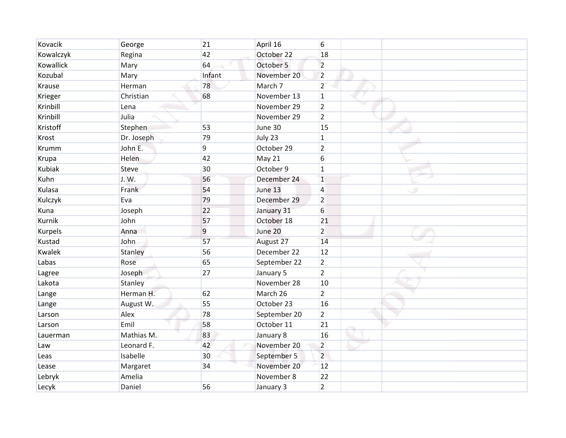| Kovacik       | George     | 21     | April 16     | 6              |         |
|---------------|------------|--------|--------------|----------------|---------|
| Kowalczyk     | Regina     | 42     | October 22   | 18             |         |
| Kowallick     | Mary       | 64     | October 5    | $\overline{2}$ |         |
| Kozubal       | Mary       | Infant | November 20  | $\overline{2}$ |         |
| Krause        | Herman     | 78     | March 7      | $\overline{2}$ |         |
| Krieger       | Christian  | 68     | November 13  | $\mathbf 1$    |         |
| Krinbill      | Lena       |        | November 29  | $\overline{2}$ |         |
| Krinbill      | Julia      |        | November 29  | $\overline{2}$ |         |
| Kristoff      | Stephen    | 53     | June 30      | 15             |         |
| Krost         | Dr. Joseph | 79     | July 23      | $\mathbf{1}$   |         |
| <b>Krumm</b>  | John E.    | 9      | October 29   | $\overline{2}$ |         |
| Krupa         | Helen      | 42     | May 21       | 6              |         |
| <b>Kubiak</b> | Steve      | 30     | October 9    | $\mathbf{1}$   |         |
| Kuhn          | J.W.       | 56     | December 24  | $\overline{1}$ |         |
| Kulasa        | Frank      | 54     | June 13      | $\overline{4}$ | $\circ$ |
| Kulczyk       | Eva        | 79     | December 29  | $\overline{2}$ |         |
| Kuna          | Joseph     | 22     | January 31   | 6              |         |
| Kurnik        | John       | 57     | October 18   | 21             |         |
| Kurpels       | Anna       | 9      | June 20      | $\overline{2}$ |         |
| Kustad        | John       | 57     | August 27    | 14             |         |
| Kwalek        | Stanley    | 56     | December 22  | 12             |         |
| Labas         | Rose       | 65     | September 22 | $\overline{2}$ |         |
| Lagree        | Joseph     | 27     | January 5    | $\overline{2}$ |         |
| Lakota        | Stanley    |        | November 28  | 10             |         |
| Lange         | Herman H.  | 62     | March 26     | $\overline{2}$ |         |
| Lange         | August W.  | 55     | October 23   | 16             |         |
| Larson        | Alex       | 78     | September 20 | $\overline{2}$ |         |
| Larson        | Emil       | 58     | October 11   | 21             |         |
| Lauerman      | Mathias M. | 83     | January 8    | 16             |         |
| Law           | Leonard F. | 42     | November 20  | $\overline{2}$ |         |
| Leas          | Isabelle   | 30     | September 5  | $\overline{2}$ |         |
| Lease         | Margaret   | 34     | November 20  | 12             |         |
| Lebryk        | Amelia     |        | November 8   | 22             |         |
| Lecyk         | Daniel     | 56     | January 3    | $\overline{2}$ |         |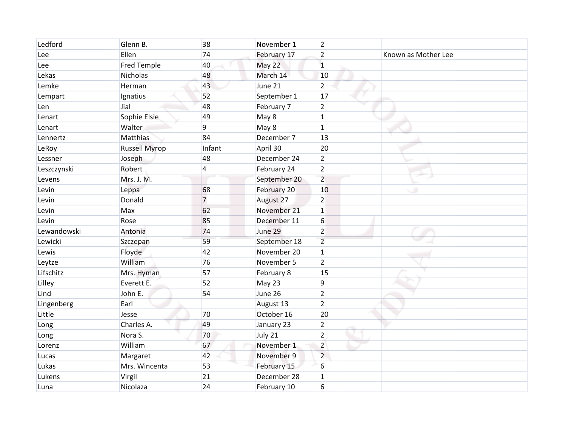| Ledford     | Glenn B.             | 38             | November 1   | $\overline{2}$ |                     |
|-------------|----------------------|----------------|--------------|----------------|---------------------|
| Lee         | Ellen                | 74             | February 17  | $\overline{2}$ | Known as Mother Lee |
| Lee         | <b>Fred Temple</b>   | 40             | May 22       | $\mathbf{1}$   |                     |
| Lekas       | <b>Nicholas</b>      | 48             | March 14     | 10             |                     |
| Lemke       | Herman               | 43             | June 21      | $\overline{2}$ |                     |
| Lempart     | Ignatius             | 52             | September 1  | 17             |                     |
| Len         | Jial                 | 48             | February 7   | $\overline{2}$ |                     |
| Lenart      | Sophie Elsie         | 49             | May 8        | $\mathbf 1$    |                     |
| Lenart      | Walter               | 9              | May 8        | $\mathbf{1}$   |                     |
| Lennertz    | Matthias             | 84             | December 7   | 13             |                     |
| LeRoy       | <b>Russell Myrop</b> | Infant         | April 30     | 20             |                     |
| Lessner     | Joseph               | 48             | December 24  | $\overline{2}$ |                     |
| Leszczynski | Robert               | 4              | February 24  | $\overline{2}$ |                     |
| Levens      | Mrs. J. M.           |                | September 20 | $\overline{2}$ |                     |
| Levin       | Leppa                | 68             | February 20  | 10             | $\circ$             |
| Levin       | Donald               | $\overline{7}$ | August 27    | $\overline{2}$ |                     |
| Levin       | Max                  | 62             | November 21  | $\mathbf{1}$   |                     |
| Levin       | Rose                 | 85             | December 11  | 6              |                     |
| Lewandowski | Antonia              | 74             | June 29      | $\overline{2}$ |                     |
| Lewicki     | Szczepan             | 59             | September 18 | $\overline{2}$ |                     |
| Lewis       | Floyde               | 42             | November 20  | 1              |                     |
| Leytze      | William              | 76             | November 5   | $\overline{2}$ |                     |
| Lifschitz   | Mrs. Hyman           | 57             | February 8   | 15             |                     |
| Lilley      | Everett E.           | 52             | May 23       | 9              |                     |
| Lind        | John E.              | 54             | June 26      | $\overline{2}$ |                     |
| Lingenberg  | Earl                 |                | August 13    | $\overline{2}$ |                     |
| Little      | Jesse                | 70             | October 16   | 20             |                     |
| Long        | Charles A.           | 49             | January 23   | $\overline{2}$ |                     |
| Long        | Nora S.              | 70             | July 21      | $\overline{2}$ |                     |
| Lorenz      | William              | 67             | November 1   | $\overline{2}$ |                     |
| Lucas       | Margaret             | 42             | November 9   | $\overline{2}$ |                     |
| Lukas       | Mrs. Wincenta        | 53             | February 15  | 6              |                     |
| Lukens      | Virgil               | 21             | December 28  | $\mathbf{1}$   |                     |
| Luna        | Nicolaza             | 24             | February 10  | 6              |                     |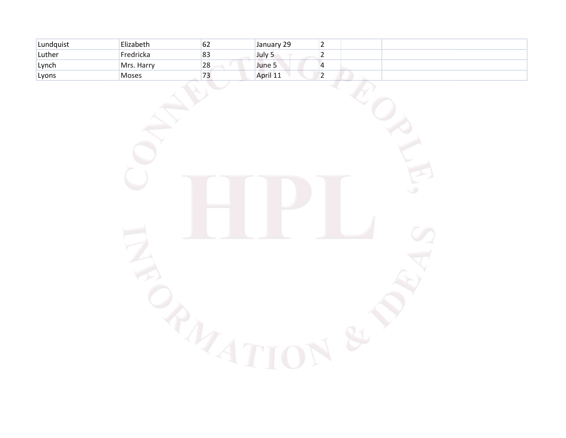| Lundquist | Elizabeth  | σZ | January 29 |   |  |
|-----------|------------|----|------------|---|--|
| Luther    | Fredricka  | 83 | July 5     | - |  |
| Lynch     | Mrs. Harry | 28 | June 5     |   |  |
| Lyons     | Moses      | 75 | April 11   |   |  |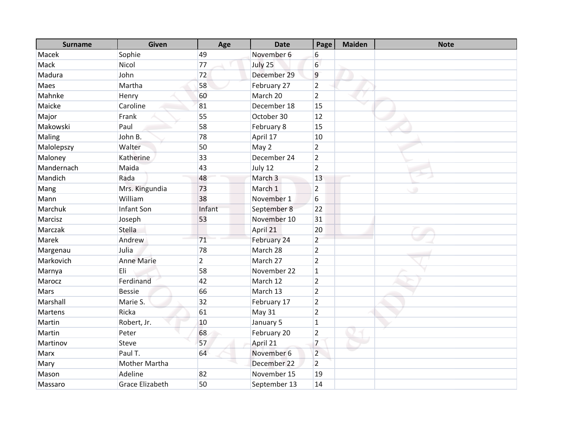| <b>Surname</b> | <b>Given</b>           | Age            | <b>Date</b>  | Page           | <b>Maiden</b> | <b>Note</b> |
|----------------|------------------------|----------------|--------------|----------------|---------------|-------------|
| Macek          | Sophie                 | 49             | November 6   | 6              |               |             |
| Mack           | Nicol                  | 77             | July 25      | 6              |               |             |
| Madura         | John                   | 72             | December 29  | $\overline{9}$ |               |             |
| Maes           | Martha                 | 58             | February 27  | $\overline{2}$ |               |             |
| Mahnke         | Henry                  | 60             | March 20     | $\overline{2}$ |               |             |
| Maicke         | Caroline               | 81             | December 18  | 15             |               |             |
| Major          | Frank                  | 55             | October 30   | 12             |               |             |
| Makowski       | Paul                   | 58             | February 8   | 15             |               |             |
| Maling         | John B.                | 78             | April 17     | 10             |               |             |
| Malolepszy     | Walter                 | 50             | May 2        | $\overline{2}$ |               |             |
| Maloney        | Katherine              | 33             | December 24  | $\overline{2}$ |               |             |
| Mandernach     | Maida                  | 43             | July 12      | $\overline{2}$ |               |             |
| Mandich        | Rada                   | 48             | March 3      | 13             |               |             |
| Mang           | Mrs. Kingundia         | 73             | March 1      | $\overline{2}$ |               |             |
| Mann           | William                | 38             | November 1   | 6              |               |             |
| Marchuk        | <b>Infant Son</b>      | Infant         | September 8  | 22             |               |             |
| Marcisz        | Joseph                 | 53             | November 10  | 31             |               |             |
| Marczak        | Stella                 |                | April 21     | 20             |               |             |
| Marek          | Andrew                 | 71             | February 24  | $\overline{2}$ |               |             |
| Margenau       | Julia                  | 78             | March 28     | $\overline{2}$ |               |             |
| Markovich      | <b>Anne Marie</b>      | $\overline{2}$ | March 27     | $\overline{2}$ |               |             |
| Marnya         | Eli                    | 58             | November 22  | $\mathbf{1}$   |               |             |
| Marocz         | Ferdinand              | 42             | March 12     | $\overline{2}$ |               |             |
| Mars           | <b>Bessie</b>          | 66             | March 13     | $\overline{2}$ |               |             |
| Marshall       | Marie S.               | 32             | February 17  | $\overline{2}$ |               |             |
| Martens        | Ricka                  | 61             | May 31       | $\overline{2}$ |               |             |
| Martin         | Robert, Jr.            | 10             | January 5    | $\mathbf{1}$   |               |             |
| Martin         | Peter                  | 68             | February 20  | $\overline{2}$ |               |             |
| Martinov       | Steve                  | 57             | April 21     | $\overline{7}$ |               |             |
| Marx           | Paul T.                | 64             | November 6   | $\overline{2}$ |               |             |
| Mary           | Mother Martha          |                | December 22  | $\overline{2}$ |               |             |
| Mason          | Adeline                | 82             | November 15  | 19             |               |             |
| Massaro        | <b>Grace Elizabeth</b> | 50             | September 13 | 14             |               |             |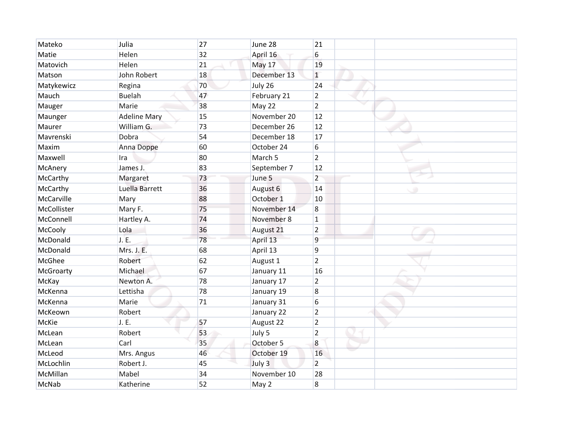| Mateko      | Julia               | 27 | June 28     | 21              |   |
|-------------|---------------------|----|-------------|-----------------|---|
| Matie       | Helen               | 32 | April 16    | 6               |   |
| Matovich    | Helen               | 21 | May 17      | 19              |   |
| Matson      | John Robert         | 18 | December 13 | $\mathbf{1}$    |   |
| Matykewicz  | Regina              | 70 | July 26     | 24              |   |
| Mauch       | <b>Buelah</b>       | 47 | February 21 | $\overline{2}$  |   |
| Mauger      | Marie               | 38 | May 22      | $\overline{2}$  |   |
| Maunger     | <b>Adeline Mary</b> | 15 | November 20 | 12              |   |
| Maurer      | William G.          | 73 | December 26 | 12              |   |
| Mavrenski   | Dobra               | 54 | December 18 | 17              |   |
| Maxim       | Anna Doppe          | 60 | October 24  | 6               |   |
| Maxwell     | Ira                 | 80 | March 5     | $\overline{2}$  |   |
| McAnery     | James J.            | 83 | September 7 | 12              |   |
| McCarthy    | Margaret            | 73 | June 5      | $\overline{2}$  |   |
| McCarthy    | Luella Barrett      | 36 | August 6    | 14              | ۰ |
| McCarville  | Mary                | 88 | October 1   | 10              |   |
| McCollister | Mary F.             | 75 | November 14 | $\overline{8}$  |   |
| McConnell   | Hartley A.          | 74 | November 8  | $\mathbf 1$     |   |
| McCooly     | Lola                | 36 | August 21   | $\overline{2}$  |   |
| McDonald    | J. E.               | 78 | April 13    | 9               |   |
| McDonald    | Mrs. J. E.          | 68 | April 13    | $\overline{9}$  |   |
| McGhee      | Robert              | 62 | August 1    | $\overline{2}$  |   |
| McGroarty   | Michael             | 67 | January 11  | 16              |   |
| McKay       | Newton A.           | 78 | January 17  | $\overline{2}$  |   |
| McKenna     | Lettisha            | 78 | January 19  | $\overline{8}$  |   |
| McKenna     | Marie               | 71 | January 31  | $6\overline{6}$ |   |
| McKeown     | Robert              |    | January 22  | $\overline{2}$  |   |
| McKie       | J. E.               | 57 | August 22   | $\overline{2}$  |   |
| McLean      | Robert              | 53 | July 5      | $\overline{2}$  |   |
| McLean      | Carl                | 35 | October 5   | $\overline{8}$  |   |
| McLeod      | Mrs. Angus          | 46 | October 19  | 16              |   |
| McLochlin   | Robert J.           | 45 | July 3      | $\overline{2}$  |   |
| McMillan    | Mabel               | 34 | November 10 | 28              |   |
| McNab       | Katherine           | 52 | May 2       | 8               |   |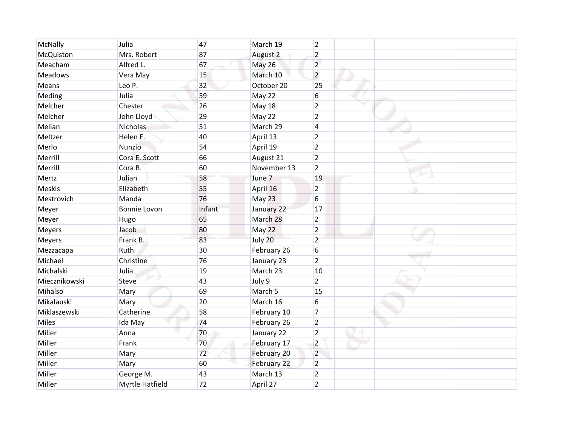| McNally        | Julia           | 47     | March 19      | $\overline{2}$ |   |
|----------------|-----------------|--------|---------------|----------------|---|
| McQuiston      | Mrs. Robert     | 87     | August 2      | $\overline{2}$ |   |
| Meacham        | Alfred L.       | 67     | <b>May 26</b> | $\overline{2}$ |   |
| <b>Meadows</b> | Vera May        | 15     | March 10      | $\overline{2}$ |   |
| Means          | Leo P.          | 32     | October 20    | 25             |   |
| Meding         | Julia           | 59     | May 22        | 6              |   |
| Melcher        | Chester         | 26     | <b>May 18</b> | $\overline{2}$ |   |
| Melcher        | John Lloyd      | 29     | May 22        | $\overline{2}$ |   |
| Melian         | Nicholas        | 51     | March 29      | $\overline{4}$ |   |
| Meltzer        | Helen E.        | 40     | April 13      | $\overline{2}$ |   |
| Merlo          | Nunzio          | 54     | April 19      | $\overline{2}$ |   |
| Merrill        | Cora E. Scott   | 66     | August 21     | $\overline{2}$ |   |
| Merrill        | Cora B.         | 60     | November 13   | $\overline{2}$ |   |
| Mertz          | Julian          | 58     | June 7        | 19             |   |
| <b>Meskis</b>  | Elizabeth       | 55     | April 16      | $\overline{2}$ | ۰ |
| Mestrovich     | Manda           | 76     | May 23        | 6              |   |
| Meyer          | Bonnie Lovon    | Infant | January 22    | 17             |   |
| Meyer          | Hugo            | 65     | March 28      | $\overline{2}$ |   |
| Meyers         | Jacob           | 80     | May 22        | $\overline{2}$ |   |
| Meyers         | Frank B.        | 83     | July 20       | $\overline{2}$ |   |
| Mezzacapa      | Ruth            | 30     | February 26   | 6              |   |
| Michael        | Christine       | 76     | January 23    | $\overline{2}$ |   |
| Michalski      | Julia           | 19     | March 23      | 10             |   |
| Miecznikowski  | <b>Steve</b>    | 43     | July 9        | $\overline{2}$ |   |
| Mihalso        | Mary            | 69     | March 5       | 15             |   |
| Mikalauski     | Mary            | 20     | March 16      | 6              |   |
| Miklaszewski   | Catherine       | 58     | February 10   | $\overline{7}$ |   |
| Miles          | Ida May         | 74     | February 26   | $\overline{2}$ |   |
| Miller         | Anna            | 70     | January 22    | $\overline{2}$ |   |
| Miller         | Frank           | 70     | February 17   | $\overline{2}$ |   |
| Miller         | Mary            | 72     | February 20   | $\overline{2}$ |   |
| Miller         | Mary            | 60     | February 22   | $\overline{2}$ |   |
| Miller         | George M.       | 43     | March 13      | $\overline{2}$ |   |
| Miller         | Myrtle Hatfield | 72     | April 27      | $\overline{2}$ |   |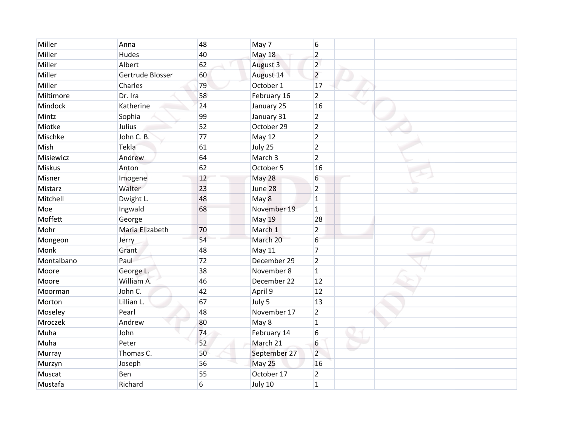| Miller     | Anna             | 48 | May 7         | $6\phantom{a}$  |   |
|------------|------------------|----|---------------|-----------------|---|
| Miller     | <b>Hudes</b>     | 40 | <b>May 18</b> | $\overline{2}$  |   |
| Miller     | Albert           | 62 | August 3      | $\overline{2}$  |   |
| Miller     | Gertrude Blosser | 60 | August 14     | $\overline{2}$  |   |
| Miller     | Charles          | 79 | October 1     | 17              |   |
| Miltimore  | Dr. Ira          | 58 | February 16   | $\overline{2}$  |   |
| Mindock    | Katherine        | 24 | January 25    | 16              |   |
| Mintz      | Sophia           | 99 | January 31    | $\overline{2}$  |   |
| Miotke     | Julius           | 52 | October 29    | $\overline{2}$  |   |
| Mischke    | John C. B.       | 77 | May 12        | $\overline{2}$  |   |
| Mish       | Tekla            | 61 | July 25       | $\overline{2}$  |   |
| Misiewicz  | Andrew           | 64 | March 3       | $\overline{2}$  |   |
| Miskus     | Anton            | 62 | October 5     | 16              |   |
| Misner     | Imogene          | 12 | May 28        | $6\phantom{.}6$ |   |
| Mistarz    | Walter           | 23 | June 28       | $\overline{2}$  | ۰ |
| Mitchell   | Dwight L.        | 48 | May 8         | $\mathbf{1}$    |   |
| Moe        | Ingwald          | 68 | November 19   | $\mathbf{1}$    |   |
| Moffett    | George           |    | May 19        | 28              |   |
| Mohr       | Maria Elizabeth  | 70 | March 1       | $\overline{2}$  |   |
| Mongeon    | Jerry            | 54 | March 20      | 6               |   |
| Monk       | Grant            | 48 | <b>May 11</b> | $\overline{7}$  |   |
| Montalbano | Paul             | 72 | December 29   | $\overline{2}$  |   |
| Moore      | George L.        | 38 | November 8    | $\mathbf{1}$    |   |
| Moore      | William A.       | 46 | December 22   | 12              |   |
| Moorman    | John C.          | 42 | April 9       | 12              |   |
| Morton     | Lillian L.       | 67 | July 5        | 13              |   |
| Moseley    | Pearl            | 48 | November 17   | $\overline{2}$  |   |
| Mroczek    | Andrew           | 80 | May 8         | $\mathbf{1}$    |   |
| Muha       | John             | 74 | February 14   | 6               |   |
| Muha       | Peter            | 52 | March 21      | 6               |   |
| Murray     | Thomas C.        | 50 | September 27  | $\overline{2}$  |   |
| Murzyn     | Joseph           | 56 | May 25        | 16              |   |
| Muscat     | Ben              | 55 | October 17    | $\overline{2}$  |   |
| Mustafa    | Richard          | 6  | July 10       | $\mathbf{1}$    |   |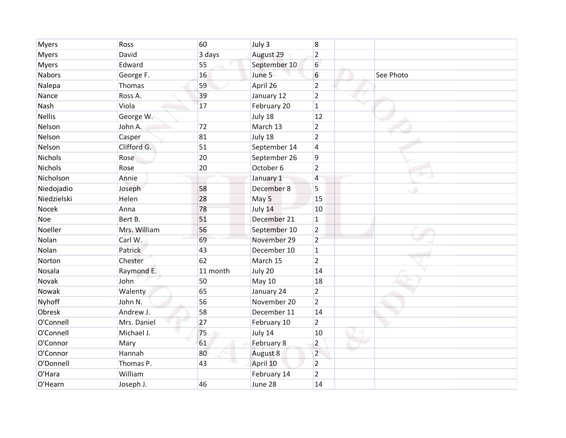| <b>Myers</b>   | Ross         | 60       | July 3       | $\boldsymbol{8}$ |           |
|----------------|--------------|----------|--------------|------------------|-----------|
| <b>Myers</b>   | David        | 3 days   | August 29    | $\overline{2}$   |           |
| <b>Myers</b>   | Edward       | 55       | September 10 | $6\phantom{1}6$  |           |
| <b>Nabors</b>  | George F.    | 16       | June 5       | 6                | See Photo |
| Nalepa         | Thomas       | 59       | April 26     | $\overline{2}$   |           |
| Nance          | Ross A.      | 39       | January 12   | $\overline{2}$   |           |
| Nash           | Viola        | 17       | February 20  | $\mathbf{1}$     |           |
| <b>Nellis</b>  | George W.    |          | July 18      | 12               |           |
| Nelson         | John A.      | 72       | March 13     | $\overline{2}$   |           |
| Nelson         | Casper       | 81       | July 18      | $\overline{2}$   |           |
| Nelson         | Clifford G.  | 51       | September 14 | $\overline{4}$   |           |
| <b>Nichols</b> | Rose         | 20       | September 26 | 9                |           |
| Nichols        | Rose         | 20       | October 6    | $\overline{2}$   |           |
| Nicholson      | Annie        |          | January 1    | $\overline{4}$   |           |
| Niedojadio     | Joseph       | 58       | December 8   | 5                | ۰         |
| Niedzielski    | Helen        | 28       | May 5        | 15               |           |
| Nocek          | Anna         | 78       | July 14      | 10               |           |
| Noe            | Bert B.      | 51       | December 21  | $\mathbf{1}$     |           |
| Noeller        | Mrs. William | 56       | September 10 | $\overline{2}$   |           |
| Nolan          | Carl W.      | 69       | November 29  | $\overline{2}$   |           |
| Nolan          | Patrick      | 43       | December 10  | $\mathbf{1}$     |           |
| Norton         | Chester      | 62       | March 15     | $\overline{2}$   |           |
| Nosala         | Raymond E.   | 11 month | July 20      | 14               |           |
| Novak          | John         | 50       | May 10       | 18               |           |
| Nowak          | Walenty      | 65       | January 24   | $\overline{2}$   |           |
| Nyhoff         | John N.      | 56       | November 20  | $\overline{2}$   |           |
| Obresk         | Andrew J.    | 58       | December 11  | 14               |           |
| O'Connell      | Mrs. Daniel  | 27       | February 10  | $\overline{2}$   |           |
| O'Connell      | Michael J.   | 75       | July 14      | 10               |           |
| O'Connor       | Mary         | 61       | February 8   | $\overline{2}$   |           |
| O'Connor       | Hannah       | 80       | August 8     | $\overline{2}$   |           |
| O'Donnell      | Thomas P.    | 43       | April 10     | $\overline{2}$   |           |
| O'Hara         | William      |          | February 14  | $\overline{2}$   |           |
| O'Hearn        | Joseph J.    | 46       | June 28      | 14               |           |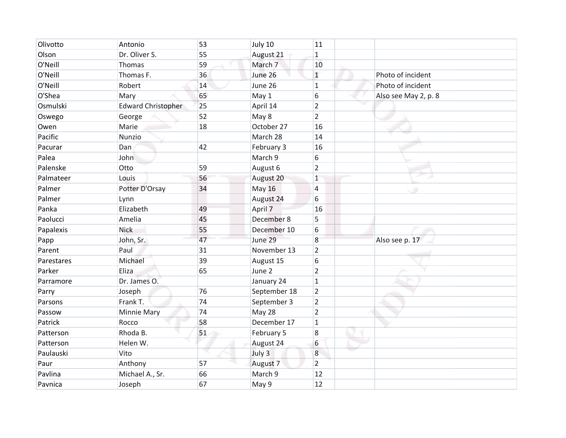| Olivotto   | Antonio                   | 53 | July 10       | 11               |                      |
|------------|---------------------------|----|---------------|------------------|----------------------|
| Olson      | Dr. Oliver S.             | 55 | August 21     | $\mathbf{1}$     |                      |
| O'Neill    | Thomas                    | 59 | March 7       | 10               |                      |
| O'Neill    | Thomas F.                 | 36 | June 26       | $\mathbf{1}$     | Photo of incident    |
| O'Neill    | Robert                    | 14 | June 26       | $\mathbf{1}$     | Photo of incident    |
| O'Shea     | Mary                      | 65 | May 1         | 6                | Also see May 2, p. 8 |
| Osmulski   | <b>Edward Christopher</b> | 25 | April 14      | $\overline{2}$   |                      |
| Oswego     | George                    | 52 | May 8         | $\overline{2}$   |                      |
| Owen       | Marie                     | 18 | October 27    | 16               |                      |
| Pacific    | Nunzio                    |    | March 28      | 14               |                      |
| Pacurar    | Dan                       | 42 | February 3    | 16               |                      |
| Palea      | John                      |    | March 9       | 6                |                      |
| Palenske   | Otto                      | 59 | August 6      | $\overline{2}$   |                      |
| Palmateer  | Louis                     | 56 | August 20     | $\mathbf{1}$     |                      |
| Palmer     | Potter D'Orsay            | 34 | <b>May 16</b> | $\overline{4}$   | ۰                    |
| Palmer     | Lynn                      |    | August 24     | 6                |                      |
| Panka      | Elizabeth                 | 49 | April 7       | 16               |                      |
| Paolucci   | Amelia                    | 45 | December 8    | 5                |                      |
| Papalexis  | Nick                      | 55 | December 10   | 6                |                      |
| Papp       | John, Sr.                 | 47 | June 29       | 8                | Also see p. 17       |
| Parent     | Paul                      | 31 | November 13   | $\overline{2}$   |                      |
| Parestares | Michael                   | 39 | August 15     | 6                |                      |
| Parker     | Eliza                     | 65 | June 2        | $\overline{2}$   |                      |
| Parramore  | Dr. James O.              |    | January 24    | $\mathbf{1}$     |                      |
| Parry      | Joseph                    | 76 | September 18  | $\overline{2}$   |                      |
| Parsons    | Frank T.                  | 74 | September 3   | $\overline{2}$   |                      |
| Passow     | <b>Minnie Mary</b>        | 74 | May 28        | $\overline{2}$   |                      |
| Patrick    | Rocco                     | 58 | December 17   | $\mathbf{1}$     |                      |
| Patterson  | Rhoda B.                  | 51 | February 5    | $\boldsymbol{8}$ |                      |
| Patterson  | Helen W.                  |    | August 24     | 6                |                      |
| Paulauski  | Vito                      |    | July 3        | $\boldsymbol{8}$ |                      |
| Paur       | Anthony                   | 57 | August 7      | $\overline{2}$   |                      |
| Pavlina    | Michael A., Sr.           | 66 | March 9       | 12               |                      |
| Pavnica    | Joseph                    | 67 | May 9         | 12               |                      |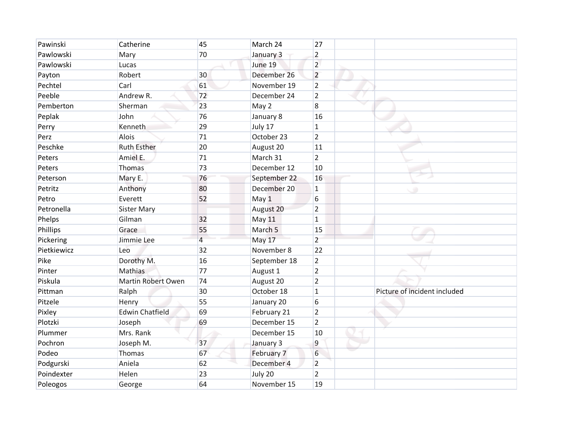| Pawinski    | Catherine              | 45             | March 24     | 27               |                              |
|-------------|------------------------|----------------|--------------|------------------|------------------------------|
| Pawlowski   | Mary                   | 70             | January 3    | $\overline{2}$   |                              |
| Pawlowski   | Lucas                  |                | June 19      | $\overline{2}$   |                              |
| Payton      | Robert                 | 30             | December 26  | $\overline{2}$   |                              |
| Pechtel     | Carl                   | 61             | November 19  | $\overline{2}$   |                              |
| Peeble      | Andrew R.              | 72             | December 24  | $\overline{2}$   |                              |
| Pemberton   | Sherman                | 23             | May 2        | $\boldsymbol{8}$ |                              |
| Peplak      | John                   | 76             | January 8    | 16               |                              |
| Perry       | Kenneth                | 29             | July 17      | $\mathbf{1}$     |                              |
| Perz        | Alois                  | 71             | October 23   | $\overline{2}$   |                              |
| Peschke     | <b>Ruth Esther</b>     | 20             | August 20    | 11               |                              |
| Peters      | Amiel E.               | 71             | March 31     | $\overline{2}$   |                              |
| Peters      | Thomas                 | 73             | December 12  | 10               |                              |
| Peterson    | Mary E.                | 76             | September 22 | 16               |                              |
| Petritz     | Anthony                | 80             | December 20  | $\mathbf{1}$     | ۰                            |
| Petro       | Everett                | 52             | May 1        | 6                |                              |
| Petronella  | <b>Sister Mary</b>     |                | August 20    | $\overline{2}$   |                              |
| Phelps      | Gilman                 | 32             | May 11       | $\mathbf{1}$     |                              |
| Phillips    | Grace                  | 55             | March 5      | 15               |                              |
| Pickering   | Jimmie Lee             | $\overline{4}$ | May 17       | $\overline{2}$   |                              |
| Pietkiewicz | Leo                    | 32             | November 8   | 22               |                              |
| Pike        | Dorothy M.             | 16             | September 18 | $\overline{2}$   |                              |
| Pinter      | Mathias                | 77             | August 1     | $\overline{2}$   |                              |
| Piskula     | Martin Robert Owen     | 74             | August 20    | $\overline{2}$   |                              |
| Pittman     | Ralph                  | 30             | October 18   | $\mathbf{1}$     | Picture of incident included |
| Pitzele     | Henry                  | 55             | January 20   | 6                |                              |
| Pixley      | <b>Edwin Chatfield</b> | 69             | February 21  | $\overline{2}$   |                              |
| Plotzki     | Joseph                 | 69             | December 15  | $\overline{2}$   |                              |
| Plummer     | Mrs. Rank              |                | December 15  | 10               |                              |
| Pochron     | Joseph M.              | 37             | January 3    | 9                |                              |
| Podeo       | Thomas                 | 67             | February 7   | 6                |                              |
| Podgurski   | Aniela                 | 62             | December 4   | $\overline{2}$   |                              |
| Poindexter  | Helen                  | 23             | July 20      | $\overline{2}$   |                              |
| Poleogos    | George                 | 64             | November 15  | 19               |                              |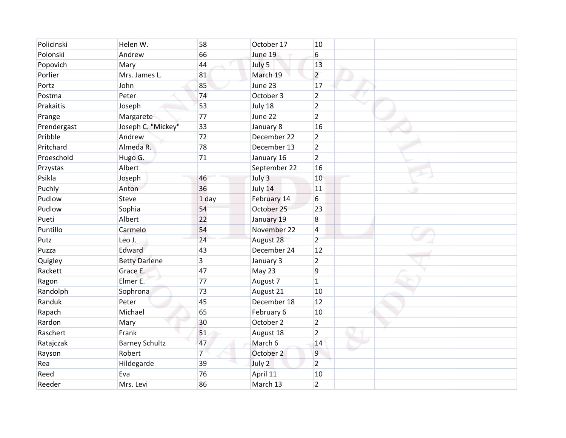| Policinski  | Helen W.              | 58             | October 17   | 10               |   |
|-------------|-----------------------|----------------|--------------|------------------|---|
| Polonski    | Andrew                | 66             | June 19      | 6                |   |
| Popovich    | Mary                  | 44             | July 5       | 13               |   |
| Porlier     | Mrs. James L.         | 81             | March 19     | $\overline{2}$   |   |
| Portz       | John                  | 85             | June 23      | 17               |   |
| Postma      | Peter                 | 74             | October 3    | $\overline{2}$   |   |
| Prakaitis   | Joseph                | 53             | July 18      | $\overline{2}$   |   |
| Prange      | Margarete             | 77             | June 22      | $\overline{2}$   |   |
| Prendergast | Joseph C. "Mickey"    | 33             | January 8    | 16               |   |
| Pribble     | Andrew                | 72             | December 22  | $\overline{2}$   |   |
| Pritchard   | Almeda R.             | 78             | December 13  | $\overline{2}$   |   |
| Proeschold  | Hugo G.               | 71             | January 16   | $\overline{2}$   |   |
| Przystas    | Albert                |                | September 22 | 16               |   |
| Psikla      | Joseph                | 46             | July 3       | 10               |   |
| Puchly      | Anton                 | 36             | July 14      | 11               | ۰ |
| Pudlow      | Steve                 | 1 day          | February 14  | 6                |   |
| Pudlow      | Sophia                | 54             | October 25   | 23               |   |
| Pueti       | Albert                | 22             | January 19   | $\boldsymbol{8}$ |   |
| Puntillo    | Carmelo               | 54             | November 22  | $\overline{4}$   |   |
| Putz        | Leo J.                | 24             | August 28    | $\overline{2}$   |   |
| Puzza       | Edward                | 43             | December 24  | 12               |   |
| Quigley     | <b>Betty Darlene</b>  | 3              | January 3    | $\overline{2}$   |   |
| Rackett     | Grace E.              | 47             | May 23       | 9                |   |
| Ragon       | Elmer E.              | 77             | August 7     | $\mathbf{1}$     |   |
| Randolph    | Sophrona              | 73             | August 21    | 10               |   |
| Randuk      | Peter                 | 45             | December 18  | 12               |   |
| Rapach      | Michael               | 65             | February 6   | 10               |   |
| Rardon      | Mary                  | 30             | October 2    | $\overline{2}$   |   |
| Raschert    | Frank                 | 51             | August 18    | $\overline{2}$   |   |
| Ratajczak   | <b>Barney Schultz</b> | 47             | March 6      | 14               |   |
| Rayson      | Robert                | $\overline{7}$ | October 2    | 9                |   |
| Rea         | Hildegarde            | 39             | July 2       | $\overline{2}$   |   |
| Reed        | Eva                   | 76             | April 11     | 10               |   |
| Reeder      | Mrs. Levi             | 86             | March 13     | $\overline{2}$   |   |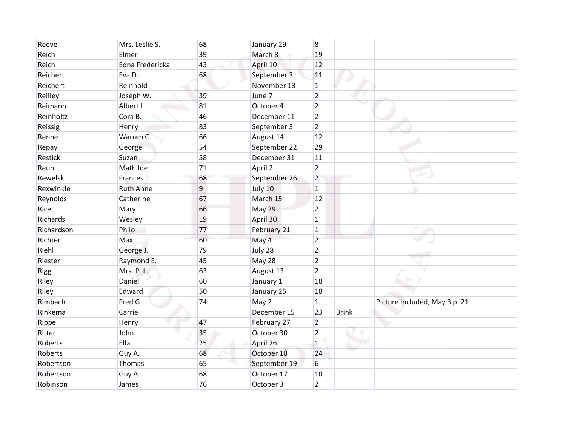| Reeve       | Mrs. Leslie S.   | 68 | January 29   | 8              |              |                               |
|-------------|------------------|----|--------------|----------------|--------------|-------------------------------|
| Reich       | Elmer            | 39 | March 8      | 19             |              |                               |
| Reich       | Edna Fredericka  | 43 | April 10     | 12             |              |                               |
| Reichert    | Eva D.           | 68 | September 3  | 11             |              |                               |
| Reichert    | Reinhold         |    | November 13  | $\mathbf{1}$   |              |                               |
| Reilley     | Joseph W.        | 39 | June 7       | $\overline{2}$ |              |                               |
| Reimann     | Albert L.        | 81 | October 4    | $\overline{2}$ |              |                               |
| Reinholtz   | Cora B.          | 46 | December 11  | $\overline{2}$ |              |                               |
| Reissig     | Henry            | 83 | September 3  | $\overline{2}$ |              |                               |
| Renne       | Warren C.        | 66 | August 14    | 12             |              |                               |
| Repay       | George           | 54 | September 22 | 29             |              |                               |
| Restick     | Suzan            | 58 | December 31  | 11             |              |                               |
| Reuhl       | Mathilde         | 71 | April 2      | $\overline{2}$ |              |                               |
| Rewelski    | Frances          | 68 | September 26 | $\overline{2}$ |              |                               |
| Rexwinkle   | <b>Ruth Anne</b> | 9  | July 10      | $\mathbf{1}$   |              | ۰                             |
| Reynolds    | Catherine        | 67 | March 15     | 12             |              |                               |
| Rice        | Mary             | 66 | May 29       | $\overline{2}$ |              |                               |
| Richards    | Wesley           | 19 | April 30     | $\mathbf{1}$   |              |                               |
| Richardson  | Philo            | 77 | February 21  | $\mathbf 1$    |              |                               |
| Richter     | Max              | 60 | May 4        | $\overline{2}$ |              |                               |
| Riehl       | George J.        | 79 | July 28      | $\overline{2}$ |              |                               |
| Riester     | Raymond E.       | 45 | May 28       | $\overline{2}$ |              |                               |
| <b>Rigg</b> | Mrs. P. L.       | 63 | August 13    | $\overline{2}$ |              |                               |
| Riley       | Daniel           | 60 | January 1    | 18             |              |                               |
| Riley       | Edward           | 50 | January 25   | 18             |              |                               |
| Rimbach     | Fred G.          | 74 | May 2        | $\mathbf{1}$   |              | Picture included, May 3 p. 21 |
| Rinkema     | Carrie           |    | December 15  | 23             | <b>Brink</b> |                               |
| Rippe       | Henry            | 47 | February 27  | $\overline{2}$ |              |                               |
| Ritter      | John             | 35 | October 30   | $\overline{2}$ |              |                               |
| Roberts     | Ella             | 25 | April 26     | $\mathbf{1}$   |              |                               |
| Roberts     | Guy A.           | 68 | October 18   | 24             |              |                               |
| Robertson   | Thomas           | 65 | September 19 | 6              |              |                               |
| Robertson   | Guy A.           | 68 | October 17   | 10             |              |                               |
| Robinson    | James            | 76 | October 3    | $\overline{2}$ |              |                               |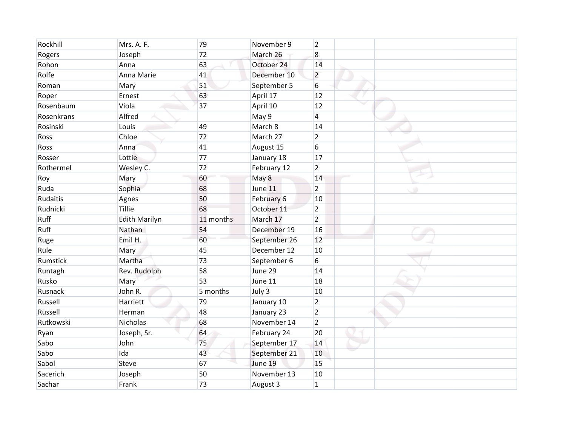| Rockhill   | Mrs. A. F.           | 79        | November 9   | $\overline{2}$ |   |
|------------|----------------------|-----------|--------------|----------------|---|
| Rogers     | Joseph               | 72        | March 26     | 8              |   |
| Rohon      | Anna                 | 63        | October 24   | 14             |   |
| Rolfe      | Anna Marie           | 41        | December 10  | $\overline{2}$ |   |
| Roman      | Mary                 | 51        | September 5  | 6              |   |
| Roper      | Ernest               | 63        | April 17     | 12             |   |
| Rosenbaum  | Viola                | 37        | April 10     | 12             |   |
| Rosenkrans | Alfred               |           | May 9        | $\overline{4}$ |   |
| Rosinski   | Louis                | 49        | March 8      | 14             |   |
| Ross       | Chloe                | 72        | March 27     | $\overline{2}$ |   |
| Ross       | Anna                 | 41        | August 15    | 6              |   |
| Rosser     | Lottie               | 77        | January 18   | 17             |   |
| Rothermel  | Wesley C.            | 72        | February 12  | $\overline{2}$ |   |
| Roy        | Mary                 | 60        | May 8        | 14             |   |
| Ruda       | Sophia               | 68        | June 11      | $\overline{2}$ | ۰ |
| Rudaitis   | Agnes                | 50        | February 6   | 10             |   |
| Rudnicki   | Tillie               | 68        | October 11   | $\overline{2}$ |   |
| Ruff       | <b>Edith Marilyn</b> | 11 months | March 17     | $\overline{2}$ |   |
| Ruff       | Nathan               | 54        | December 19  | 16             |   |
| Ruge       | Emil H.              | 60        | September 26 | 12             |   |
| Rule       | Mary                 | 45        | December 12  | 10             |   |
| Rumstick   | Martha               | 73        | September 6  | 6              |   |
| Runtagh    | Rev. Rudolph         | 58        | June 29      | 14             |   |
| Rusko      | Mary                 | 53        | June 11      | 18             |   |
| Rusnack    | John R.              | 5 months  | July 3       | 10             |   |
| Russell    | Harriett             | 79        | January 10   | $\overline{2}$ |   |
| Russell    | Herman               | 48        | January 23   | $\overline{2}$ |   |
| Rutkowski  | <b>Nicholas</b>      | 68        | November 14  | $\overline{2}$ |   |
| Ryan       | Joseph, Sr.          | 64        | February 24  | 20             |   |
| Sabo       | John                 | 75        | September 17 | 14             |   |
| Sabo       | Ida                  | 43        | September 21 | 10             |   |
| Sabol      | Steve                | 67        | June 19      | 15             |   |
| Sacerich   | Joseph               | 50        | November 13  | 10             |   |
| Sachar     | Frank                | 73        | August 3     | $\mathbf{1}$   |   |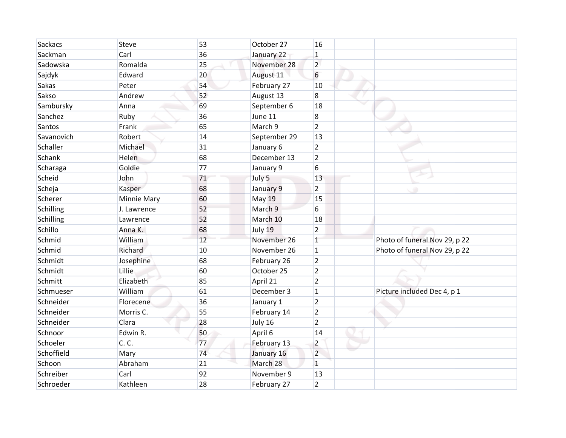| Sackacs    | <b>Steve</b>       | 53 | October 27   | 16             |                               |
|------------|--------------------|----|--------------|----------------|-------------------------------|
| Sackman    | Carl               | 36 | January 22   | $\mathbf{1}$   |                               |
| Sadowska   | Romalda            | 25 | November 28  | $\overline{2}$ |                               |
| Sajdyk     | Edward             | 20 | August 11    | 6              |                               |
| Sakas      | Peter              | 54 | February 27  | 10             |                               |
| Sakso      | Andrew             | 52 | August 13    | $\overline{8}$ |                               |
| Sambursky  | Anna               | 69 | September 6  | 18             |                               |
| Sanchez    | Ruby               | 36 | June 11      | $\overline{8}$ |                               |
| Santos     | Frank              | 65 | March 9      | $\overline{2}$ |                               |
| Savanovich | Robert             | 14 | September 29 | 13             |                               |
| Schaller   | Michael            | 31 | January 6    | $\overline{2}$ |                               |
| Schank     | Helen              | 68 | December 13  | $\overline{2}$ |                               |
| Scharaga   | Goldie             | 77 | January 9    | 6              |                               |
| Scheid     | John               | 71 | July 5       | 13             |                               |
| Scheja     | Kasper             | 68 | January 9    | $\overline{2}$ | - 90                          |
| Scherer    | <b>Minnie Mary</b> | 60 | May 19       | 15             |                               |
| Schilling  | J. Lawrence        | 52 | March 9      | 6              |                               |
| Schilling  | Lawrence           | 52 | March 10     | 18             |                               |
| Schillo    | Anna K.            | 68 | July 19      | $\overline{2}$ |                               |
| Schmid     | William            | 12 | November 26  | $\mathbf{1}$   | Photo of funeral Nov 29, p 22 |
| Schmid     | Richard            | 10 | November 26  | $\vert$ 1      | Photo of funeral Nov 29, p 22 |
| Schmidt    | Josephine          | 68 | February 26  | $\overline{2}$ |                               |
| Schmidt    | Lillie             | 60 | October 25   | $\overline{2}$ |                               |
| Schmitt    | Elizabeth          | 85 | April 21     | $\overline{2}$ |                               |
| Schmueser  | William            | 61 | December 3   | $\overline{1}$ | Picture included Dec 4, p 1   |
| Schneider  | Florecene          | 36 | January 1    | $\overline{2}$ |                               |
| Schneider  | Morris C.          | 55 | February 14  | $\overline{2}$ |                               |
| Schneider  | Clara              | 28 | July 16      | $\overline{2}$ |                               |
| Schnoor    | Edwin R.           | 50 | April 6      | 14             |                               |
| Schoeler   | C. C.              | 77 | February 13  | $\overline{2}$ |                               |
| Schoffield | Mary               | 74 | January 16   | $\overline{2}$ |                               |
| Schoon     | Abraham            | 21 | March 28     | $\mathbf{1}$   |                               |
| Schreiber  | Carl               | 92 | November 9   | 13             |                               |
| Schroeder  | Kathleen           | 28 | February 27  | $\overline{2}$ |                               |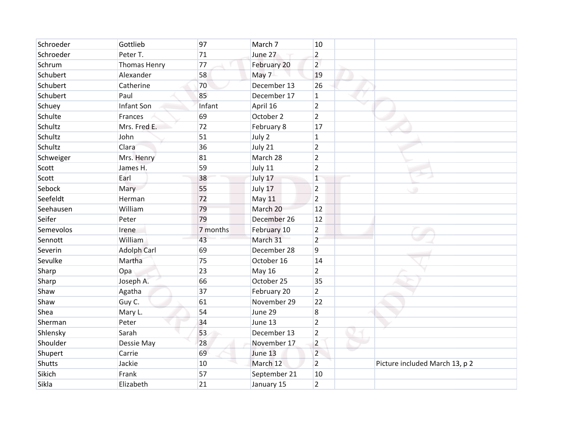| Schroeder | Gottlieb            | 97       | March 7       | 10             |                                |
|-----------|---------------------|----------|---------------|----------------|--------------------------------|
| Schroeder | Peter T.            | 71       | June 27       | $\overline{2}$ |                                |
| Schrum    | <b>Thomas Henry</b> | 77       | February 20   | $\overline{2}$ |                                |
| Schubert  | Alexander           | 58       | May 7         | 19             |                                |
| Schubert  | Catherine           | 70       | December 13   | 26             |                                |
| Schubert  | Paul                | 85       | December 17   | $\mathbf{1}$   |                                |
| Schuey    | Infant Son          | Infant   | April 16      | $\overline{2}$ |                                |
| Schulte   | Frances             | 69       | October 2     | $\overline{2}$ |                                |
| Schultz   | Mrs. Fred E.        | 72       | February 8    | 17             |                                |
| Schultz   | John                | 51       | July 2        | $\mathbf{1}$   |                                |
| Schultz   | Clara               | 36       | July 21       | $\overline{2}$ |                                |
| Schweiger | Mrs. Henry          | 81       | March 28      | $\overline{2}$ |                                |
| Scott     | James H.            | 59       | July 11       | $\overline{2}$ |                                |
| Scott     | Earl                | 38       | July 17       | $\mathbf{1}$   |                                |
| Sebock    | Mary                | 55       | July 17       | $\overline{2}$ | C O                            |
| Seefeldt  | Herman              | 72       | May 11        | $\overline{2}$ |                                |
| Seehausen | William             | 79       | March 20      | 12             |                                |
| Seifer    | Peter               | 79       | December 26   | 12             |                                |
| Semevolos | Irene               | 7 months | February 10   | $\overline{2}$ |                                |
| Sennott   | William             | 43       | March 31      | $\overline{2}$ |                                |
| Severin   | <b>Adolph Carl</b>  | 69       | December 28   | 9              |                                |
| Sevulke   | Martha              | 75       | October 16    | 14             |                                |
| Sharp     | Opa                 | 23       | <b>May 16</b> | $\overline{2}$ |                                |
| Sharp     | Joseph A.           | 66       | October 25    | 35             |                                |
| Shaw      | Agatha              | 37       | February 20   | $\overline{2}$ |                                |
| Shaw      | Guy C.              | 61       | November 29   | 22             |                                |
| Shea      | Mary L.             | 54       | June 29       | $\bf 8$        |                                |
| Sherman   | Peter               | 34       | June 13       | $\overline{2}$ |                                |
| Shlensky  | Sarah               | 53       | December 13   | $\overline{2}$ |                                |
| Shoulder  | Dessie May          | 28       | November 17   | $\overline{2}$ |                                |
| Shupert   | Carrie              | 69       | June 13       | $\overline{2}$ |                                |
| Shutts    | Jackie              | 10       | March 12      | $\overline{2}$ | Picture included March 13, p 2 |
| Sikich    | Frank               | 57       | September 21  | 10             |                                |
| Sikla     | Elizabeth           | 21       | January 15    | $\overline{2}$ |                                |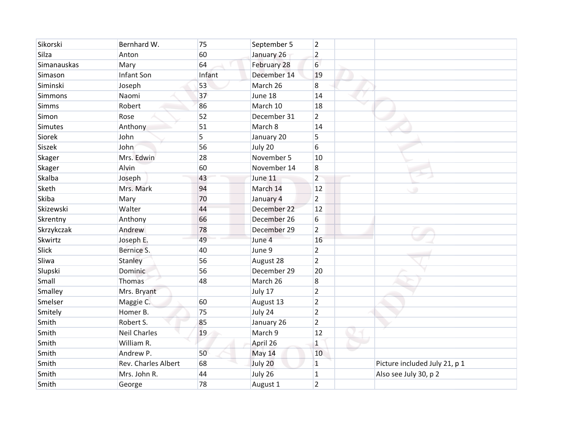| Sikorski    | Bernhard W.         | 75     | September 5   | $\overline{2}$ |                               |
|-------------|---------------------|--------|---------------|----------------|-------------------------------|
| Silza       | Anton               | 60     | January 26    | $\overline{2}$ |                               |
| Simanauskas | Mary                | 64     | February 28   | 6              |                               |
| Simason     | Infant Son          | Infant | December 14   | 19             |                               |
| Siminski    | Joseph              | 53     | March 26      | $\overline{8}$ |                               |
| Simmons     | Naomi               | 37     | June 18       | 14             |                               |
| Simms       | Robert              | 86     | March 10      | 18             |                               |
| Simon       | Rose                | 52     | December 31   | $\overline{2}$ |                               |
| Simutes     | Anthony             | 51     | March 8       | 14             |                               |
| Siorek      | John                | 5      | January 20    | 5              |                               |
| Siszek      | John                | 56     | July 20       | 6              |                               |
| Skager      | Mrs. Edwin          | 28     | November 5    | 10             |                               |
| Skager      | Alvin               | 60     | November 14   | $\overline{8}$ |                               |
| Skalba      | Joseph              | 43     | June 11       | $\overline{2}$ |                               |
| Sketh       | Mrs. Mark           | 94     | March 14      | 12             | ۰                             |
| Skiba       | Mary                | 70     | January 4     | $\overline{2}$ |                               |
| Skizewski   | Walter              | 44     | December 22   | 12             |                               |
| Skrentny    | Anthony             | 66     | December 26   | 6              |                               |
| Skrzykczak  | Andrew              | 78     | December 29   | $\overline{2}$ |                               |
| Skwirtz     | Joseph E.           | 49     | June 4        | 16             |                               |
| Slick       | Bernice S.          | 40     | June 9        | $\overline{2}$ |                               |
| Sliwa       | Stanley             | 56     | August 28     | $\overline{2}$ |                               |
| Slupski     | Dominic             | 56     | December 29   | 20             |                               |
| Small       | Thomas              | 48     | March 26      | $\overline{8}$ |                               |
| Smalley     | Mrs. Bryant         |        | July 17       | $\overline{2}$ |                               |
| Smelser     | Maggie C.           | 60     | August 13     | $\overline{2}$ |                               |
| Smitely     | Homer B.            | 75     | July 24       | $\overline{2}$ |                               |
| Smith       | Robert S.           | 85     | January 26    | $\overline{2}$ |                               |
| Smith       | <b>Neil Charles</b> | 19     | March 9       | 12             |                               |
| Smith       | William R.          |        | April 26      | $\mathbf{1}$   |                               |
| Smith       | Andrew P.           | 50     | <b>May 14</b> | 10             |                               |
| Smith       | Rev. Charles Albert | 68     | July 20       | $\mathbf{1}$   | Picture included July 21, p 1 |
| Smith       | Mrs. John R.        | 44     | July 26       | $\mathbf{1}$   | Also see July 30, p 2         |
| Smith       | George              | 78     | August 1      | $\overline{2}$ |                               |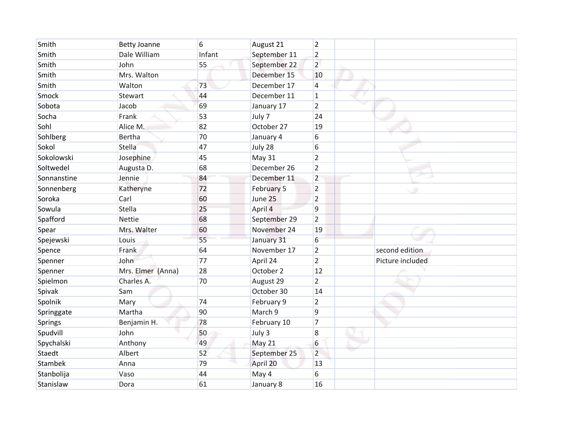| Smith          | <b>Betty Joanne</b> | 6      | August 21    | $\overline{2}$ |                  |  |
|----------------|---------------------|--------|--------------|----------------|------------------|--|
| Smith          | Dale William        | Infant | September 11 | $\overline{2}$ |                  |  |
| Smith          | John                | 55     | September 22 | $\overline{2}$ |                  |  |
| Smith          | Mrs. Walton         |        | December 15  | 10             |                  |  |
| Smith          | Walton              | 73     | December 17  | $\overline{4}$ |                  |  |
| Smock          | Stewart             | 44     | December 11  | $\mathbf{1}$   |                  |  |
| Sobota         | Jacob               | 69     | January 17   | $\overline{2}$ |                  |  |
| Socha          | Frank               | 53     | July 7       | 24             |                  |  |
| Sohl           | Alice M.            | 82     | October 27   | 19             |                  |  |
| Sohlberg       | <b>Bertha</b>       | 70     | January 4    | 6              |                  |  |
| Sokol          | Stella              | 47     | July 28      | 6              |                  |  |
| Sokolowski     | Josephine           | 45     | May 31       | $\overline{2}$ |                  |  |
| Soltwedel      | Augusta D.          | 68     | December 26  | $\overline{2}$ |                  |  |
| Sonnanstine    | Jennie              | 84     | December 11  | $\overline{2}$ |                  |  |
| Sonnenberg     | Katheryne           | 72     | February 5   | $\overline{2}$ | ۰                |  |
| Soroka         | Carl                | 60     | June 25      | $\overline{2}$ |                  |  |
| Sowula         | <b>Stella</b>       | 25     | April 4      | $\overline{9}$ |                  |  |
| Spafford       | Nettie              | 68     | September 29 | $\overline{2}$ |                  |  |
| Spear          | Mrs. Walter         | 60     | November 24  | 19             |                  |  |
| Spejewski      | Louis               | 55     | January 31   | 6              |                  |  |
| Spence         | Frank               | 64     | November 17  | $\overline{2}$ | second edition   |  |
| Spenner        | John                | 77     | April 24     | $\overline{2}$ | Picture included |  |
| Spenner        | Mrs. Elmer (Anna)   | 28     | October 2    | 12             |                  |  |
| Spielmon       | Charles A.          | 70     | August 29    | $\overline{2}$ |                  |  |
| Spivak         | Sam                 |        | October 30   | 14             |                  |  |
| Spolnik        | Mary                | 74     | February 9   | $\overline{2}$ |                  |  |
| Springgate     | Martha              | 90     | March 9      | $\overline{9}$ |                  |  |
| Springs        | Benjamin H.         | 78     | February 10  | $\overline{7}$ |                  |  |
| Spudvill       | John                | 50     | July 3       | 8              |                  |  |
| Spychalski     | Anthony             | 49     | May 21       | 6              |                  |  |
| Staedt         | Albert              | 52     | September 25 | $\overline{2}$ |                  |  |
| <b>Stambek</b> | Anna                | 79     | April 20     | 13             |                  |  |
| Stanbolija     | Vaso                | 44     | May 4        | 6              |                  |  |
| Stanislaw      | Dora                | 61     | January 8    | 16             |                  |  |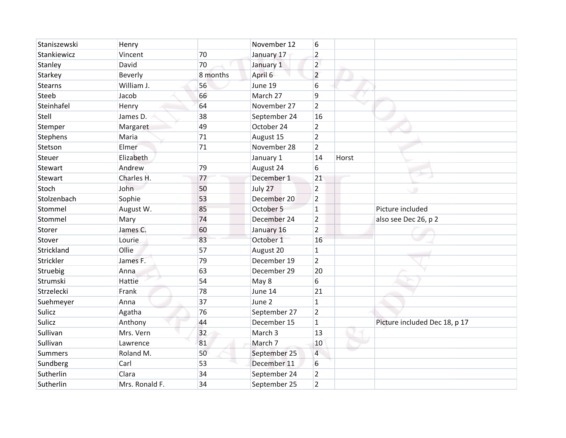| Staniszewski   | Henry          |          | November 12  | 6              |       |                               |
|----------------|----------------|----------|--------------|----------------|-------|-------------------------------|
| Stankiewicz    | Vincent        | 70       | January 17   | $\overline{2}$ |       |                               |
| Stanley        | David          | 70       | January 1    | $\overline{2}$ |       |                               |
| Starkey        | Beverly        | 8 months | April 6      | $\overline{2}$ |       |                               |
| <b>Stearns</b> | William J.     | 56       | June 19      | 6              |       |                               |
| Steeb          | Jacob          | 66       | March 27     | 9              |       |                               |
| Steinhafel     | Henry          | 64       | November 27  | $\overline{2}$ |       |                               |
| Stell          | James D.       | 38       | September 24 | 16             |       |                               |
| Stemper        | Margaret       | 49       | October 24   | $\overline{2}$ |       |                               |
| Stephens       | Maria          | 71       | August 15    | $\overline{2}$ |       |                               |
| Stetson        | Elmer          | 71       | November 28  | $\overline{2}$ |       |                               |
| Steuer         | Elizabeth      |          | January 1    | 14             | Horst |                               |
| Stewart        | Andrew         | 79       | August 24    | 6              |       |                               |
| Stewart        | Charles H.     | 77       | December 1   | 21             |       |                               |
| Stoch          | John           | 50       | July 27      | $\overline{2}$ |       |                               |
| Stolzenbach    | Sophie         | 53       | December 20  | $\overline{2}$ |       |                               |
| Stommel        | August W.      | 85       | October 5    | $\mathbf{1}$   |       | Picture included              |
| Stommel        | Mary           | 74       | December 24  | $\overline{2}$ |       | also see Dec 26, p 2          |
| Storer         | James C.       | 60       | January 16   | $\overline{2}$ |       |                               |
| Stover         | Lourie         | 83       | October 1    | 16             |       |                               |
| Strickland     | Ollie          | 57       | August 20    | $\mathbf{1}$   |       |                               |
| Strickler      | James F.       | 79       | December 19  | $\overline{2}$ |       |                               |
| Struebig       | Anna           | 63       | December 29  | 20             |       |                               |
| Strumski       | Hattie         | 54       | May 8        | 6              |       |                               |
| Strzelecki     | Frank          | 78       | June 14      | 21             |       |                               |
| Suehmeyer      | Anna           | 37       | June 2       | $\mathbf{1}$   |       |                               |
| Sulicz         | Agatha         | 76       | September 27 | $\overline{2}$ |       |                               |
| Sulicz         | Anthony        | 44       | December 15  | $\mathbf{1}$   |       | Picture included Dec 18, p 17 |
| Sullivan       | Mrs. Vern      | 32       | March 3      | 13             |       |                               |
| Sullivan       | Lawrence       | 81       | March 7      | 10             |       |                               |
| <b>Summers</b> | Roland M.      | 50       | September 25 | $\overline{4}$ |       |                               |
| Sundberg       | Carl           | 53       | December 11  | 6              |       |                               |
| Sutherlin      | Clara          | 34       | September 24 | $\overline{2}$ |       |                               |
| Sutherlin      | Mrs. Ronald F. | 34       | September 25 | $\overline{2}$ |       |                               |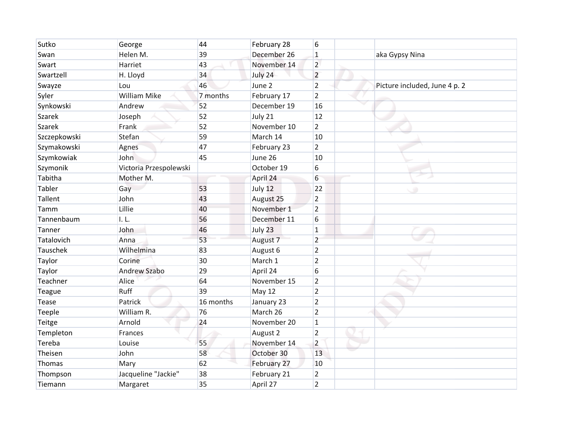| Sutko         | George                 | 44        | February 28 | 6              |                               |
|---------------|------------------------|-----------|-------------|----------------|-------------------------------|
| Swan          | Helen M.               | 39        | December 26 | $\mathbf{1}$   | aka Gypsy Nina                |
| Swart         | Harriet                | 43        | November 14 | $\overline{2}$ |                               |
| Swartzell     | H. Lloyd               | 34        | July 24     | $\overline{2}$ |                               |
| Swayze        | Lou                    | 46        | June 2      | $\overline{2}$ | Picture included, June 4 p. 2 |
| Syler         | <b>William Mike</b>    | 7 months  | February 17 | $\overline{2}$ |                               |
| Synkowski     | Andrew                 | 52        | December 19 | 16             |                               |
| <b>Szarek</b> | Joseph                 | 52        | July 21     | 12             |                               |
| <b>Szarek</b> | Frank                  | 52        | November 10 | $\overline{2}$ |                               |
| Szczepkowski  | Stefan                 | 59        | March 14    | 10             |                               |
| Szymakowski   | Agnes                  | 47        | February 23 | $\overline{2}$ |                               |
| Szymkowiak    | John                   | 45        | June 26     | 10             |                               |
| Szymonik      | Victoria Przespolewski |           | October 19  | 6              |                               |
| Tabitha       | Mother M.              |           | April 24    | 6              |                               |
| Tabler        | Gay                    | 53        | July 12     | 22             | ۰                             |
| Tallent       | John                   | 43        | August 25   | $\overline{2}$ |                               |
| Tamm          | Lillie                 | 40        | November 1  | $\overline{2}$ |                               |
| Tannenbaum    | L <sub>L</sub>         | 56        | December 11 | 6              |                               |
| Tanner        | John                   | 46        | July 23     | $\overline{1}$ |                               |
| Tatalovich    | Anna                   | 53        | August 7    | $\overline{2}$ |                               |
| Tauschek      | Wilhelmina             | 83        | August 6    | $\overline{2}$ |                               |
| Taylor        | Corine                 | 30        | March 1     | $\overline{2}$ |                               |
| Taylor        | Andrew Szabo           | 29        | April 24    | 6              |                               |
| Teachner      | Alice                  | 64        | November 15 | $\overline{2}$ |                               |
| Teague        | Ruff                   | 39        | May 12      | $\overline{2}$ |                               |
| Tease         | Patrick                | 16 months | January 23  | $\overline{2}$ |                               |
| Teeple        | William R.             | 76        | March 26    | $\overline{2}$ |                               |
| Teitge        | Arnold                 | 24        | November 20 | $\mathbf{1}$   |                               |
| Templeton     | Frances                |           | August 2    | $\overline{2}$ |                               |
| Tereba        | Louise                 | 55        | November 14 | $\overline{2}$ |                               |
| Theisen       | John                   | 58        | October 30  | 13             |                               |
| Thomas        | Mary                   | 62        | February 27 | 10             |                               |
| Thompson      | Jacqueline "Jackie"    | 38        | February 21 | $\overline{2}$ |                               |
| Tiemann       | Margaret               | 35        | April 27    | $\overline{2}$ |                               |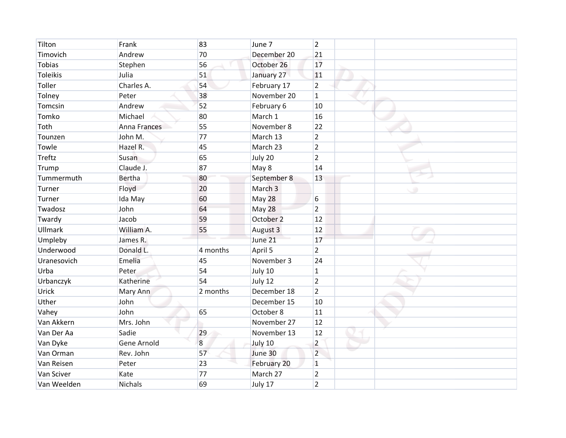| Tilton          | Frank          | 83       | June 7      | $\overline{2}$ |   |
|-----------------|----------------|----------|-------------|----------------|---|
| Timovich        | Andrew         | 70       | December 20 | 21             |   |
| <b>Tobias</b>   | Stephen        | 56       | October 26  | 17             |   |
| <b>Toleikis</b> | Julia          | 51       | January 27  | 11             |   |
| Toller          | Charles A.     | 54       | February 17 | $\overline{2}$ |   |
| Tolney          | Peter          | 38       | November 20 | $\mathbf{1}$   |   |
| Tomcsin         | Andrew         | 52       | February 6  | 10             |   |
| Tomko           | Michael        | 80       | March 1     | 16             |   |
| Toth            | Anna Frances   | 55       | November 8  | 22             |   |
| Tounzen         | John M.        | 77       | March 13    | $\overline{2}$ |   |
| Towle           | Hazel R.       | 45       | March 23    | $\overline{2}$ |   |
| <b>Treftz</b>   | Susan          | 65       | July 20     | $\overline{2}$ |   |
| Trump           | Claude J.      | 87       | May 8       | 14             |   |
| Tummermuth      | <b>Bertha</b>  | 80       | September 8 | 13             |   |
| Turner          | Floyd          | 20       | March 3     |                | ۰ |
| Turner          | Ida May        | 60       | May 28      | 6              |   |
| Twadosz         | John           | 64       | May 28      | $\overline{2}$ |   |
| Twardy          | Jacob          | 59       | October 2   | 12             |   |
| Ullmark         | William A.     | 55       | August 3    | 12             |   |
| Umpleby         | James R.       |          | June 21     | 17             |   |
| Underwood       | Donald L.      | 4 months | April 5     | $\overline{2}$ |   |
| Uranesovich     | Emelia         | 45       | November 3  | 24             |   |
| Urba            | Peter          | 54       | July 10     | $\mathbf{1}$   |   |
| Urbanczyk       | Katherine      | 54       | July 12     | $\overline{2}$ |   |
| Urick           | Mary Ann       | 2 months | December 18 | $\overline{2}$ |   |
| Uther           | John           |          | December 15 | 10             |   |
| Vahey           | John           | 65       | October 8   | 11             |   |
| Van Akkern      | Mrs. John      |          | November 27 | 12             |   |
| Van Der Aa      | Sadie          | 29       | November 13 | 12             |   |
| Van Dyke        | Gene Arnold    | 8        | July 10     | $\overline{2}$ |   |
| Van Orman       | Rev. John      | 57       | June 30     | $\overline{2}$ |   |
| Van Reisen      | Peter          | 23       | February 20 | $\mathbf{1}$   |   |
| Van Sciver      | Kate           | 77       | March 27    | $\overline{2}$ |   |
| Van Weelden     | <b>Nichals</b> | 69       | July 17     | $\overline{2}$ |   |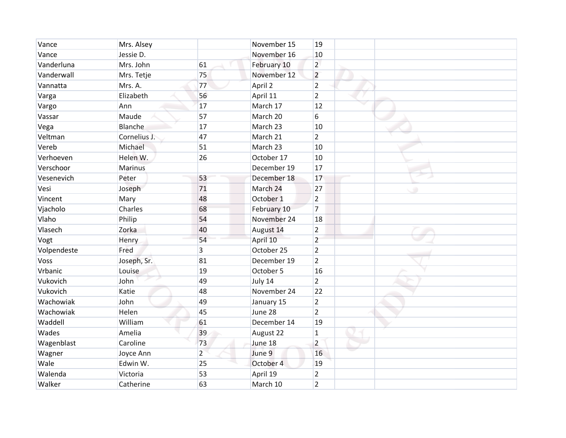| Vance       | Mrs. Alsey     |                | November 15 | 19             |   |
|-------------|----------------|----------------|-------------|----------------|---|
| Vance       | Jessie D.      |                | November 16 | 10             |   |
| Vanderluna  | Mrs. John      | 61             | February 10 | $\overline{2}$ |   |
| Vanderwall  | Mrs. Tetje     | 75             | November 12 | $\overline{2}$ |   |
| Vannatta    | Mrs. A.        | 77             | April 2     | $\overline{2}$ |   |
| Varga       | Elizabeth      | 56             | April 11    | $\overline{2}$ |   |
| Vargo       | Ann            | 17             | March 17    | 12             |   |
| Vassar      | Maude          | 57             | March 20    | 6              |   |
| Vega        | Blanche        | 17             | March 23    | 10             |   |
| Veltman     | Cornelius J.   | 47             | March 21    | $\overline{2}$ |   |
| Vereb       | Michael        | 51             | March 23    | 10             |   |
| Verhoeven   | Helen W.       | 26             | October 17  | 10             |   |
| Verschoor   | <b>Marinus</b> |                | December 19 | 17             |   |
| Vesenevich  | Peter          | 53             | December 18 | 17             |   |
| Vesi        | Joseph         | 71             | March 24    | 27             | ۰ |
| Vincent     | Mary           | 48             | October 1   | $\overline{2}$ |   |
| Vjacholo    | Charles        | 68             | February 10 | $\overline{7}$ |   |
| Vlaho       | Philip         | 54             | November 24 | 18             |   |
| Vlasech     | Zorka          | 40             | August 14   | $\overline{2}$ |   |
| Vogt        | Henry          | 54             | April 10    | $\overline{2}$ |   |
| Volpendeste | Fred           | $\overline{3}$ | October 25  | $\overline{2}$ |   |
| Voss        | Joseph, Sr.    | 81             | December 19 | $\overline{2}$ |   |
| Vrbanic     | Louise         | 19             | October 5   | 16             |   |
| Vukovich    | John           | 49             | July 14     | $\overline{2}$ |   |
| Vukovich    | Katie          | 48             | November 24 | 22             |   |
| Wachowiak   | John           | 49             | January 15  | $\overline{2}$ |   |
| Wachowiak   | Helen          | 45             | June 28     | $\overline{2}$ |   |
| Waddell     | William        | 61             | December 14 | 19             |   |
| Wades       | Amelia         | 39             | August 22   | $\mathbf 1$    |   |
| Wagenblast  | Caroline       | 73             | June 18     | $\overline{2}$ |   |
| Wagner      | Joyce Ann      | $\overline{2}$ | June 9      | 16             |   |
| Wale        | Edwin W.       | 25             | October 4   | 19             |   |
| Walenda     | Victoria       | 53             | April 19    | $\overline{2}$ |   |
| Walker      | Catherine      | 63             | March 10    | $\overline{2}$ |   |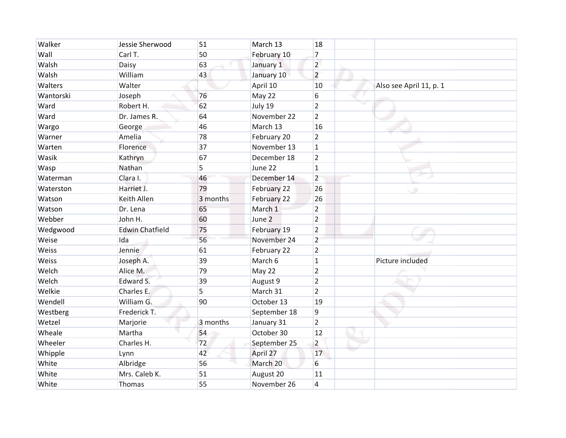| Walker    | Jessie Sherwood        | 51       | March 13     | 18             |                         |
|-----------|------------------------|----------|--------------|----------------|-------------------------|
| Wall      | Carl T.                | 50       | February 10  | $\overline{7}$ |                         |
| Walsh     | Daisy                  | 63       | January 1    | $\overline{2}$ |                         |
| Walsh     | William                | 43       | January 10   | $\overline{2}$ |                         |
| Walters   | Walter                 |          | April 10     | 10             | Also see April 11, p. 1 |
| Wantorski | Joseph                 | 76       | May 22       | 6              |                         |
| Ward      | Robert H.              | 62       | July 19      | $\overline{2}$ |                         |
| Ward      | Dr. James R.           | 64       | November 22  | $\overline{2}$ |                         |
| Wargo     | George                 | 46       | March 13     | 16             |                         |
| Warner    | Amelia                 | 78       | February 20  | $\overline{2}$ |                         |
| Warten    | Florence               | 37       | November 13  | $\mathbf{1}$   |                         |
| Wasik     | Kathryn                | 67       | December 18  | $\overline{2}$ |                         |
| Wasp      | Nathan                 | 5        | June 22      | $\mathbf{1}$   |                         |
| Waterman  | Clara I.               | 46       | December 14  | $\overline{2}$ |                         |
| Waterston | Harriet J.             | 79       | February 22  | 26             | ۰                       |
| Watson    | Keith Allen            | 3 months | February 22  | 26             |                         |
| Watson    | Dr. Lena               | 65       | March 1      | $\overline{2}$ |                         |
| Webber    | John H.                | 60       | June 2       | $\overline{2}$ |                         |
| Wedgwood  | <b>Edwin Chatfield</b> | 75       | February 19  | $\overline{2}$ |                         |
| Weise     | Ida                    | 56       | November 24  | $\overline{2}$ |                         |
| Weiss     | Jennie                 | 61       | February 22  | $\overline{2}$ |                         |
| Weiss     | Joseph A.              | 39       | March 6      | $\mathbf{1}$   | Picture included        |
| Welch     | Alice M.               | 79       | May 22       | $\overline{2}$ |                         |
| Welch     | Edward S.              | 39       | August 9     | $\overline{2}$ |                         |
| Welkie    | Charles E.             | 5        | March 31     | $\overline{2}$ |                         |
| Wendell   | William G.             | 90       | October 13   | 19             |                         |
| Westberg  | Frederick T.           |          | September 18 | 9              |                         |
| Wetzel    | Marjorie               | 3 months | January 31   | $\overline{2}$ |                         |
| Wheale    | Martha                 | 54       | October 30   | 12             |                         |
| Wheeler   | Charles H.             | 72       | September 25 | $\overline{2}$ |                         |
| Whipple   | Lynn                   | 42       | April 27     | 17             |                         |
| White     | Albridge               | 56       | March 20     | 6              |                         |
| White     | Mrs. Caleb K.          | 51       | August 20    | 11             |                         |
| White     | Thomas                 | 55       | November 26  | $\overline{4}$ |                         |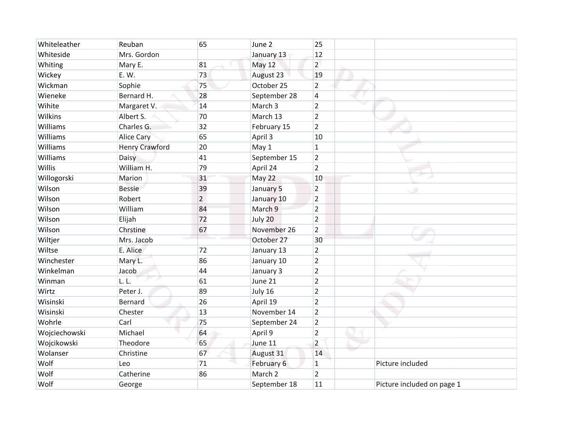| Whiteleather  | Reuban                | 65 | June 2             | 25             |                            |
|---------------|-----------------------|----|--------------------|----------------|----------------------------|
| Whiteside     | Mrs. Gordon           |    | January 13         | 12             |                            |
| Whiting       | Mary E.               | 81 | <b>May 12</b>      | $\overline{2}$ |                            |
| Wickey        | E. W.                 | 73 | August 23          | 19             |                            |
| Wickman       | Sophie                | 75 | October 25         | $\overline{2}$ |                            |
| Wieneke       | Bernard H.            | 28 | September 28       | $\overline{4}$ |                            |
| Wihite        | Margaret V.           | 14 | March 3            | $\overline{2}$ |                            |
| Wilkins       | Albert S.             | 70 | March 13           | $\overline{2}$ |                            |
| Williams      | Charles G.            | 32 | February 15        | $\overline{2}$ |                            |
| Williams      | <b>Alice Cary</b>     | 65 | April 3            | 10             |                            |
| Williams      | <b>Henry Crawford</b> | 20 | May 1              | $\overline{1}$ |                            |
| Williams      | Daisy                 | 41 | September 15       | $\overline{2}$ |                            |
| Willis        | William H.            | 79 | April 24           | $\overline{2}$ |                            |
| Willogorski   | Marion                | 31 | May 22             | 10             |                            |
| Wilson        | <b>Bessie</b>         | 39 | January 5          | $\overline{2}$ | ۰                          |
| Wilson        | Robert                | 2  | January 10         | $\overline{2}$ |                            |
| Wilson        | William               | 84 | March 9            | $\overline{2}$ |                            |
| Wilson        | Elijah                | 72 | July 20            | $\overline{2}$ |                            |
| Wilson        | Chrstine              | 67 | November 26        | $\overline{2}$ |                            |
| Wiltjer       | Mrs. Jacob            |    | October 27         | 30             |                            |
| Wiltse        | E. Alice              | 72 | January 13         | $\overline{2}$ |                            |
| Winchester    | Mary L.               | 86 | January 10         | $\overline{2}$ |                            |
| Winkelman     | Jacob                 | 44 | January 3          | $\overline{2}$ |                            |
| Winman        | L.L.                  | 61 | June 21            | $\overline{2}$ |                            |
| Wirtz         | Peter J.              | 89 | July 16            | $\overline{2}$ |                            |
| Wisinski      | Bernard               | 26 | April 19           | $\overline{2}$ |                            |
| Wisinski      | Chester               | 13 | November 14        | $\overline{2}$ |                            |
| Wohrle        | Carl                  | 75 | September 24       | $\overline{2}$ |                            |
| Wojciechowski | Michael               | 64 | April 9            | $\overline{2}$ |                            |
| Wojcikowski   | Theodore              | 65 | June 11            | $\overline{2}$ |                            |
| Wolanser      | Christine             | 67 | August 31          | 14             |                            |
| Wolf          | Leo                   | 71 | February 6         | $\mathbf{1}$   | Picture included           |
| Wolf          | Catherine             | 86 | March <sub>2</sub> | $\overline{2}$ |                            |
| Wolf          | George                |    | September 18       | 11             | Picture included on page 1 |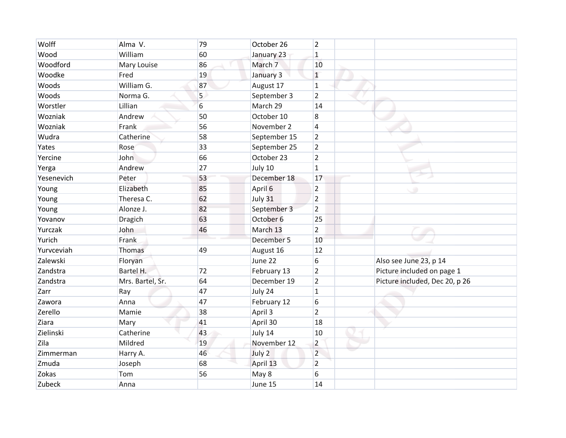| Wolff      | Alma V.          | 79               | October 26   | $\overline{2}$   |                                |
|------------|------------------|------------------|--------------|------------------|--------------------------------|
| Wood       | William          | 60               | January 23   | $\mathbf{1}$     |                                |
| Woodford   | Mary Louise      | 86               | March 7      | 10               |                                |
| Woodke     | Fred             | 19               | January 3    | $\mathbf{1}$     |                                |
| Woods      | William G.       | 87               | August 17    | $\mathbf{1}$     |                                |
| Woods      | Norma G.         | 5                | September 3  | $\overline{2}$   |                                |
| Worstler   | Lillian          | $6 \overline{6}$ | March 29     | 14               |                                |
| Wozniak    | Andrew           | 50               | October 10   | $\boldsymbol{8}$ |                                |
| Wozniak    | Frank            | 56               | November 2   | $\overline{4}$   |                                |
| Wudra      | Catherine        | 58               | September 15 | $\overline{2}$   |                                |
| Yates      | Rose             | 33               | September 25 | $\overline{2}$   |                                |
| Yercine    | John             | 66               | October 23   | $\overline{2}$   |                                |
| Yerga      | Andrew           | 27               | July 10      | $\mathbf{1}$     |                                |
| Yesenevich | Peter            | 53               | December 18  | 17               |                                |
| Young      | Elizabeth        | 85               | April 6      | $\overline{2}$   | ۰                              |
| Young      | Theresa C.       | 62               | July 31      | $\overline{2}$   |                                |
| Young      | Alonze J.        | 82               | September 3  | $\overline{2}$   |                                |
| Yovanov    | Dragich          | 63               | October 6    | 25               |                                |
| Yurczak    | John             | 46               | March 13     | $\overline{2}$   |                                |
| Yurich     | Frank            |                  | December 5   | 10               |                                |
| Yurvceviah | Thomas           | 49               | August 16    | 12               |                                |
| Zalewski   | Floryan          |                  | June 22      | 6                | Also see June 23, p 14         |
| Zandstra   | Bartel H.        | 72               | February 13  | $\overline{2}$   | Picture included on page 1     |
| Zandstra   | Mrs. Bartel, Sr. | 64               | December 19  | $\overline{2}$   | Picture included, Dec 20, p 26 |
| Zarr       | Ray              | 47               | July 24      | $\mathbf{1}$     |                                |
| Zawora     | Anna             | 47               | February 12  | 6                |                                |
| Zerello    | Mamie            | 38               | April 3      | $\overline{2}$   |                                |
| Ziara      | Mary             | 41               | April 30     | 18               |                                |
| Zielinski  | Catherine        | 43               | July 14      | 10               |                                |
| Zila       | Mildred          | 19               | November 12  | $\overline{2}$   |                                |
| Zimmerman  | Harry A.         | 46               | July 2       | $\overline{2}$   |                                |
| Zmuda      | Joseph           | 68               | April 13     | $\overline{2}$   |                                |
| Zokas      | Tom              | 56               | May 8        | 6                |                                |
| Zubeck     | Anna             |                  | June 15      | 14               |                                |